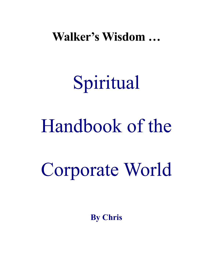## **Walker's Wisdom …**

## Spiritual

## Handbook of the

## Corporate World

**By Chris**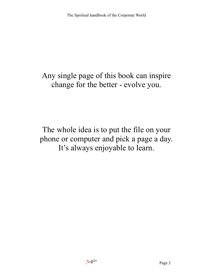## Any single page of this book can inspire change for the better - evolve you.

The whole idea is to put the file on your phone or computer and pick a page a day. It's always enjoyable to learn.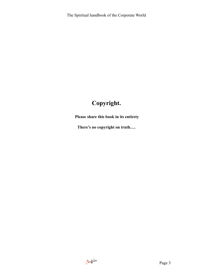## **Copyright.**

 **Please share this book in its entirety** 

**There's no copyright on truth….**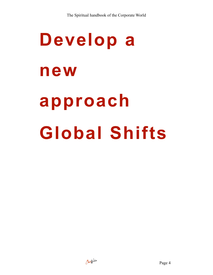# **Develop a new approach Global Shifts**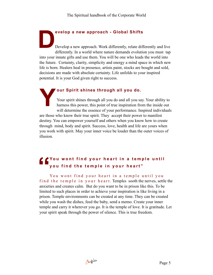**Example 2018 Consider the American Shifts Shifts Consider the American Shifts Shifts and the American Shifts Shifts American Shifts American Shifts American Shifts American Shifts American Shifts American Shifts American** Develop a new approach. Work differently, relate differently and live differently. In a world where nature demands evolution you must tap into your innate gifts and use them. You will be one who leads the world into the future. Certainty, clarity, simplicity and energy a mind space in which new life is born. Healers heal in presence, artists paint, stocks are bought and sold, decisions are made with absolute certainty. Life unfolds to your inspired potential. It is your God given right to success.

Your Spirit shines through all you do.<br>
Your spirit shines through all you do and all you say<br>
harness this power, this point of true inspiration fro<br>
will determine the essence of your performance. In Your spirit shines through all you do and all you say. Your ability to harness this power, this point of true inspiration from the inside out will determine the essence of your performance. Inspired individuals are those who know their true spirit. They accept their power to manifest destiny. You can empower yourself and others when you know how to create through mind, body and spirit. Success, love, health and life are yours when you work with spirit. May your inner voice be louder than the outer voices of illusion.

## **The Theorem Contribution Control**<br> **Theorem Contribution Secure 2015**<br>
You wont find your heart in a temple until you **you find the temple in your heart"**

You wont find your heart in a temple until you find the temple in your heart. Temples sooth the nerves, settle the anxieties and creates calm. But do you want to be in prison like this. To be limited to such places in order to achieve your inspiration is like living in a prison. Temple environments can be created at any time. They can be created while you wash the dishes, feed the baby, send a memo. Create your inner temple and carry it wherever you go. It is the temple of love. It is gratitude. Let your spirit speak through the power of silence. This is true freedom.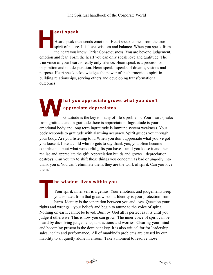**Heart speak Fragment Speak Fragment Speak Transfer Speak Transfer Speak Transfer Speak Transfer Speak Transfer Speak Fragment Speak Transfer Speak Transfer Speak Transfer Speak Transfer Speak Transfer Speak Transfer Speak** Heart speak transcends emotion. Heart speak comes from the true spirit of nature. It is love, wisdom and balance. When you speak from the heart you know Christ Consciousness. You are beyond judgement, emotion and fear. Form the heart you can only speak love and gratitude. The true voice of your heart is really only silence. Heart speak is a process for inspiration and not desperation. Heart speak - speaks of dreams, visions and purpose. Heart speak acknowledges the power of the harmonious spirit in building relationships, serving others and developing transformational outcomes.

## **What you appreciate grows what you don't appreciate depreciates**

Gratitude is the key to many of life's problems. Your heart speaks from gratitude and in gratitude there is appreciation. Ingratitude is your emotional body and long term ingratitude is immune system weakness. Your body responds to gratitude with alarming accuracy. Spirit guides you through your body. Are you listening to it. When you don't appreciate what you've got you loose it. Like a child who forgets to say thank you, you often become complacent about what wonderful gifts you have – until you loose it and then realise and appreciate the gift. Appreciation builds and grows – depreciation destroys. Can you try to shift those things you condemn as bad or ungodly into thank you's. You can't eliminate them, they are the work of spirit. Can you love them?

### **The wisdom lives within you**

Your spirit, inner self is a genius. Your emotions and judgements keep you isolated from that great wisdom. Identity is your protection from harm. Identity is the separation between you and love. Question your rights and wrongs – your beliefs and begin to attune to the voice of spirit. Nothing on earth cannot be loved. Built by God all is perfect as it is until you judge it otherwise. This is how you can grow. The inner voice of spirit can be heard by dissolving judgements, distractions and worries. Clearing your mind and becoming present is the dominant key. It is also critical for for leadership, sales, health and performance. All of mankind's problems are caused by our inability to sit quietly alone in a room. Take a moment to resolve those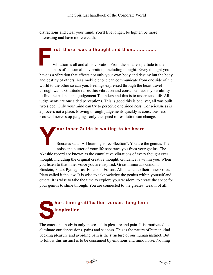distractions and clear your mind. You'll live longer, be lighter, be more interesting and have more wealth.

## **First there was a thought and then…………….**

Vibration is all and all is vibration From the smallest particle to the mass of the sun all is vibration, including thought. Every thought you have is a vibration that affects not only your own body and destiny but the body and destiny of others. As a mobile phone can communicate from one side of the world to the other so can you. Feelings expressed through the heart travel through walls. Gratitude raises this vibration and consciousness is your ability to find the balance in a judgement To understand this is to understand life. All judgements are one sided perceptions. This is good this is bad, yet, all was built two sided. Only your mind can try to perceive one sided ness. Consciousness is a process not a place. Moving through judgements quickly is consciousness. You will never stop judging –only the speed of resolution can change.

## **Your inner Guide is waiting to be heard**

Socrates said "All learning is recollection". You are the genius. The noise and clutter of your life separates you from your genius. The Akashic record are known as the cumulative vibrations of every thought ever thought, including the original creative thought. Guidance is within you. When you listen to that inner voice you are inspired. Great immortals Gandhi, Einstein, Plato, Pythagorus, Emerson, Edison. All listened to their inner voice. Plato called it the law. It is wise to acknowledge the genius within yourself and others. It is wise to take the time to explore your wisdom, to create the space for your genius to shine through. You are connected to the greatest wealth of all.

## **Short term gratification versus long term inspiration**

The emotional body is only interested in pleasure and pain. It is motivated to eliminate our depressions, pains and sadness. This is the nature of human kind. Seeking pleasure and avoiding pain is the structure of our human instinct. But to follow this instinct is to be consumed by emotions and mind noise. Nothing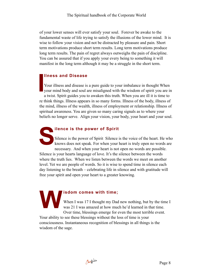of your lower senses will ever satisfy your soul. Forever be awake to the fundamental waste of life trying to satisfy the illusions of the lower mind. It is wise to follow your vision and not be distracted by pleasure and pain. Short term motivations produce short term results. Long term motivations produce long term results. The pain of regret always outweighs the pain of discipline. You can be assured that if you apply your every being to something it will manifest in the long term although it may be a struggle in the short term.

### **llness and Disease**

**I** Your illness and disease is a pure guide to your imbalance in thought When your mind body and soul are misaligned with the wisdom of spirit you are in a twist. Spirit guides you to awaken this truth. When you are ill it is time to re think things. Illness appears in so many forms. Illness of the body, illness of the mind, illness of the wealth, illness of employment or relationship. Illness of spiritual awareness. You are given so many caring signals as to where your beliefs no longer serve. Align your vision, your body, your heart and your soul.



### **shillence is the power of Spirit**

Silence is the power of Spirit Silence is the voice of the heart. He who knows does not speak. For when your heart is truly open no words are necessary. And when your heart is not open no words are possible. Silence is your hearts language of love. It's the silence between the words where the truth lies. When we listen between the words we meet on another level. Yet we are people of words. So it is wise to spend time in silence each day listening to the breath – celebrating life in silence and with gratitude will free your spirit and open your heart to a greater knowing.

**When I was 17 I thought my Dad<br>
was 21 I was amazed at how muc<br>
Over time, blessings emerge for a** When I was 17 I thought my Dad new nothing, but by the time I was 21 I was amazed at how much he'd learned in that time. Over time, blessings emerge for even the most terrible event.

Your ability to see these blessings without the loss of time is your consciousness. Instantaneous recognition of blessings in all things is the wisdom of the sage.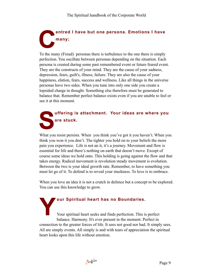## **Centred I have but one persona. Emotions I have many;**

To the many (Freud) personas there is turbulence to the one there is simply perfection. You oscillate between personas depending on the situation. Each persona is created during some past remembered event or future feared event. They are the constructs of your mind. They are the cause of your sadness, depression, fears, guilt's, illness, failure. They are also the cause of your happiness, elation, fears, success and wellness. Like all things in the universe personas have two sides. When you tune into only one side you create a lopsided charge in thought. Something else therefore must be generated to balance that. Remember perfect balance exists even if you are unable to feel or see it at this moment.

## **Suffering is attachment. Your ideas are where you are stuck.**

What you resist persists. When you think you've got it you haven't. When you think you won it you don't. The tighter you hold on to your beliefs the more pain you experience. Life is not an it, it's a journey. Movement and flow is essential for life and there's nothing on earth that doesn't move. Except of course some ideas we hold onto. This holding is going against the flow and that takes energy. Radical movement is revolution steady movement is evolution. Between the two is your ideal growth rate. Remember, to have something you must let go of it. To defend is to reveal your stuckness. To love is to embrace.

When you love an idea it is not a crutch in defence but a concept to be explored. You can use this knowledge to grow.

Your spiritual heart seeks and finds perfection. This is perfect balance. Harmony. It's ever present in the moment. Perfect in connection to the greater forces of life. It sees not good nor bad. It simply sees. All are simply events. All simply is and with tears of appreciation the spiritual heart looks upon this life without emotion.

**Your Spiritual heart has no Boundaries.**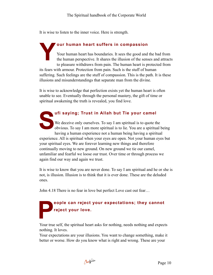It is wise to listen to the inner voice. Here is strength.

Your human heart suffers in compassion<br>Your human heart has boundaries. It sees the good and<br>the human perspective. It shares the illusion of the sens<br>to pleasure withdraws from pain. The human heart is pr Your human heart has boundaries. It sees the good and the bad from the human perspective. It shares the illusion of the senses and attracts to pleasure withdraws from pain. The human heart is protected from its fears with armour. Protection from pain. Such is the stuff of human suffering. Such feelings are the stuff of compassion. This is the path. It is these illusions and misunderstandings that separate man from the divine.

It is wise to acknowledge that perfection exists yet the human heart is often unable to see. Eventually through the personal mastery, the gift of time or spiritual awakening the truth is revealed, you find love.

## **sufi saying; Trust in Allah but Tie your camel**

We deceive only ourselves. To say I am spiritual is to quote the obvious. To say I am more spiritual is to lie. You are a spiritual being having a human experience not a human being having a spiritual experience. All is spiritual when your eyes are open. Not your human eyes but your spiritual eyes. We are forever learning new things and therefore continually moving to new ground. On new ground we tie our camel, unfamiliar and fearful we loose our trust. Over time or through process we again find our way and again we trust.

It is wise to know that you are never done. To say I am spiritual and he or she is not, is illusion. Illusion is to think that it is ever done. These are the deluded ones.

John 4.18 There is no fear in love but perfect Love cast out fear…

## **People can reject your expectations; they cannot reject your love.**

Your true self, the spiritual heart asks for nothing, needs nothing and expects nothing. It loves.

Your expectations are your illusions. You want to change something, make it better or worse. How do you know what is right and wrong. These are your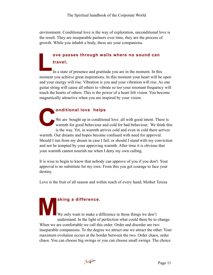environment. Conditional love is the way of exploration, unconditional love is the result. They are inseparable partners over time, they are the process of growth. While you inhabit a body, these are your companions.

## **Love passes through walls where no sound can <br>
In a state of presence and gratitude you are in the moment. In this<br>
In a state of presence and gratitude you are in the moment. In this travel;**

moment you achieve great inspirations. In this moment your heart will be open and your energy will rise. Vibration is you and your vibration will rise. As one guitar string will cause all others to vibrate so too your resonant frequency will touch the hearts of others. This is the power of a heart felt vision. You become magnetically attractive when you are inspired by your vision.

**Conditional love helps**<br>
We are bought up in condition<br>
warmth for good behaviour and<br>
is the way Yet in warmth arriv We are bought up in conditional love all with good intent. There is warmth for good behaviour and cold for bad behaviour. We think this is the way. Yet, in warmth arrives cold and even in cold there arrives warmth. Our dreams and hopes become confused with need for approval. Should I run from my dream in case I fail, or should I stand with my conviction and not be tempted by your approving warmth. After time it is obvious that your warmth cannot nourish me when I deny my own calling.

It is wise to begin to know that nobody can approve of you if you don't. Your approval is no substitute for my own. From this you get courage to face your destiny.

Love is the fruit of all season and within reach of every hand; Mother Teresa

**Making a difference.**<br>We only want to make a diversion of the light of We only want to make a difference in those things we don't understand. In the light of perfection what could there be to change. When we are comfortable we call this order. Order and disorder are two inseparable companions. To the degree we attract one we attract the other. Your maximum evolution occurs at the border between the two. Order chaos, order chaos. You can choose big swings or you can choose small swings. The choice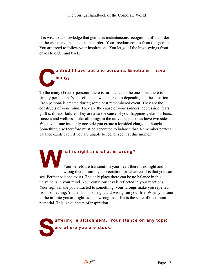It is wise to acknowledge that genius is instantaneous recognition of the order in the chaos and the chaos in the order. Your freedom comes from this genius. You are freed to follow your inspirations. You let go of the huge swings from chaos to order and back.

## **Centred I have but one persona. Emotions I have many;**

To the many (Freud) personas there is turbulence to the one spirit there is simply perfection. You oscillate between personas depending on the situation. Each persona is created during some past remembered event. They are the constructs of your mind. They are the cause of your sadness, depression, fears, guilt's, illness, failure. They are also the cause of your happiness, elation, fears, success and wellness. Like all things in the universe, personas have two sides. When you tune into only one side you create a lopsided charge in thought. Something else therefore must be generated to balance that. Remember perfect balance exists even if you are unable to feel or see it at this moment.

## **What is right and what is wrong?**

Your beliefs are transient. In your heart there is no right and wrong there is simply appreciation for whatever it is that you can see. Perfect balance exists. The only place there can be no balance in this universe is in your mind. Your consciousness is reflected in your reactions. Your rights make you attracted to something, your wrongs make you repelled from something. Your illusions of right and wrong run your life. When you tune to the infinite you are rightless and wrongless. This is the state of maximum potential. This is your state of inspiration.

**Suffering is attachment. Your stance on any topic are where you are stuck.** 

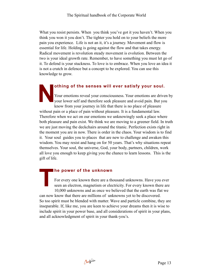What you resist persists. When you think you've got it you haven't. When you think you won it you don't. The tighter you hold on to your beliefs the more pain you experience. Life is not an it, it's a journey. Movement and flow is essential for life. Holding is going against the flow and that takes energy. Radical movement is revolution steady movement is evolution. Between the two is your ideal growth rate. Remember, to have something you must let go of it. To defend is your stuckness. To love is to embrace. When you love an idea it is not a crutch in defence but a concept to be explored. You can use this knowledge to grow.

**If the senses will ever satisfy your soul.**<br>
Your emotions reveal your consciousness. Your emotions are driver<br>
your lower self and therefore seek pleasure and avoid pain. But you<br>
know from your journey in life that ther Your emotions reveal your consciousness. Your emotions are driven by your lower self and therefore seek pleasure and avoid pain. But you know from your journey in life that there is no place of pleasure without pain or a place of pain without pleasure. It is a fundamental law. Therefore when we act on our emotions we unknowingly seek a place where both pleasure and pain exist. We think we are moving to a greener field. In truth we are just moving the deckchairs around the titanic. Perfection exists right in the moment you are in now. There is order in the chaos. Your wisdom is to find it. Your soul guides you to places that are new to challenge and awaken this wisdom. You may resist and hang on for 50 years. That's why situations repeat themselves. Your soul, the universe, God, your body, partners, children, work all love you enough to keep giving you the chance to learn lessons. This is the gift of life.

and all acknowledgment of spirit in your thank-you's.

**The power of the unknown**<br>For every one known there are a the<br>seen an electron, magnetism or electron<br>10,000 unknowns and as once we b For every one known there are a thousand unknowns. Have you ever seen an electron, magnetism or electricity. For every known there are 10,000 unknowns and as once we believed that the earth was flat we can now know that there are millions of unknowns yet to be discovered. So too spirit must be blended with matter. Wave and particle combine, they are inseparable. If, like me, you are keen to achieve your dreams then it is wise to include spirit in your power base, and all considerations of spirit in your plans,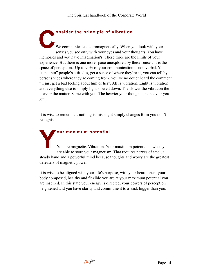**Consider the principle of Vibration <br>We communicate electromagnetically. When yesess you see only with your eves and your the** We communicate electromagnetically. When you look with your senses you see only with your eyes and your thoughts. You have memories and you have imagination's. These three are the limits of your experience. But there is one more space unexplored by these senses. It is the space of perception. Up to 90% of your communication is non verbal. You "tune into" people's attitudes, get a sense of where they're at, you can tell by a persons vibes where they're coming from. You've no doubt heard the comment " I just get a bad feeling about him or her". All is vibration. Light is vibration and everything else is simply light slowed down. The slower the vibration the heavier the matter. Same with you. The heavier your thoughts the heavier you get.

It is wise to remember; nothing is missing it simply changes form you don't recognise.



steady hand and a powerful mind because thoughts and worry are the greatest defeaters of magnetic power.

It is wise to be aligned with your life's purpose, with your heart open, your body composed, healthy and flexible you are at your maximum potential you are inspired. In this state your energy is directed, your powers of perception heightened and you have clarity and commitment to a task bigger than you.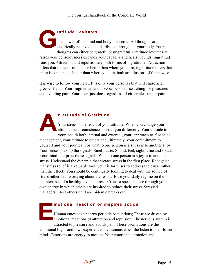The power of the mind and electrically received and thoughts can either be gra The power of the mind and body is electric. All thoughts are electrically received and distributed throughout your body. Your thoughts can either be grateful or ungrateful. Gratitude levitates, it raises your consciousness expands your capacity and heals wounds. Ingratitude runs you. Attraction and repulsion are both forms of ingratitude. Attraction infers that there is some place better than where your are, ingratitude infers that there is some place better than where you are, both are illusions of the unwise.

It is wise to follow your heart. It is only your personas that will chase after greener fields. Your fragmented and diverse personas searching for pleasures and avoiding pain. Your heart just does regardless of either pleasure or pain.

**An attitude of Gratitude**<br>
Your stress is the result of your<br>
attitude the circumstances impared wour health both internal and ex-Your stress is the result of your attitude. When you change your attitude the circumstances impact you differently. Your attitude to your health both internal and external, your approach to financial management, your attitude to others and ultimately your commitment to yourself and your journey. For what to one person is a stress is to another a joy. Your senses pick up the signals. Smell, taste. Sound, feel, sight, time and space. Your mind interprets those signals. What to one person is a joy is to another, a stress. Understand the dynamic that creates stress in the first place. Recognise that stress relief is a valuable tool yet it is far wiser to address the cause rather than the effect. You should be continually looking to deal with the source of stress rather than worrying about the result. Base your daily regime on the maintenance of a healthy level of stress. Create a special space through your own energy in which others are inspired to reduce their stress. Stressed managers infect others until an epidemic breaks out.

**EMORGING HUMAN REACT ON ORIGINAL PROPERTY.**<br> **EMORGING HUMAN PROPERTY AND ART PROPERTY AND PROPERTY AND PROPERTY AND PROPERTY AND PROPERTY AND PROPERTY AND PROPERTY AND PROPERTY AND PROPERTY AND PROPERTY AND PROPERTY AND** Human emotions undergo periodic oscillations; These are driven by **Exercise 1** emotional reactions of attraction and repulsion. The nervous system is attracted to pleasure and avoids pain. These oscillations are the emotional highs and lows experienced by humans when the listen to their lower mind. Emotions are energy in motion. Your emotional attraction and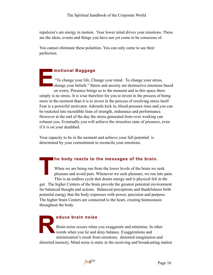repulsion's are energy in motion. Your lower mind drives your emotions. These are the ideas, events and things you have not yet come to be conscious of.

You cannot eliminate these polarities. You can only come to see their perfection.

**Emotional Baggage**<br> **Example 25 To change your life, Change 35 To change your beliefs.**<br> **Example 26 To 26 To 26 To 26 To 26 To 26 To 26 To 26 To 26 To 26 To 26 To 26 To 26 To 26 To 26 To 26 To 26 To 26 To 26 To 26 To 26**  "To change your life, Change your mind. To change your stress, change your beliefs." Stress and anxiety are destructive emotions based on worry. Presence brings us to the moment and in this space there simply is no stress. It is wise therefore for you to invest in the process of being more in the moment than it is to invest in the process of resolving stress itself. Fear is a powerful motivator. Adrenals kick in, blood pressure rises and you can be rocketed into incredible feats of strength, endurance and performance. However at the end of the day the stress generated from over working can exhaust you. Eventually you will achieve the stressless state of presence, even if it is on your deathbed.

Your capacity to be in the moment and achieve your full potential is determined by your commitment to reconcile your emotions.

### ■he body reacts to the messages of the brain.

When we are being run from the lower levels of the brain we seek pleasure and avoid pain. Whenever we seek pleasure, we run into pain. This is an endless cycle that drains energy and is physical felt in the gut. The higher Centers of the brain provide the greatest potential environment for balanced thought and actions. Balanced perceptions and thankfulness birth potential energy that the body expresses with power, precision and purpose. The higher brain Centers are connected to the heart, creating homeostasis throughout the body.

**Reduce brain noise**<br>Brain noise occurs when<br>words when you lie and d<br>minimisation's result from Brain noise occurs when you exaggerate and minimise. In other words when you lie and deny balance. Exaggerations and minimisation's result from emotions; distorted imagination and distorted memory. Mind noise is static in the receiving and broadcasting station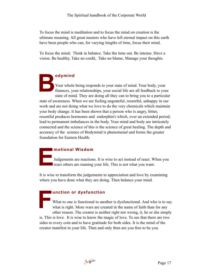To focus the mind is meditation and to focus the mind on creation is the ultimate meaning. All great masters who have left eternal impact on this earth have been people who can, for varying lengths of time, focus their mind.

To focus the mind; Think in balance. Take the time out. Be intense. Have a vision. Be healthy, Take no credit, Take no blame, Manage your thoughts.

**Bodymind**<br> **Bodymind**<br> **Bodymind**<br> **Bodymind**<br> **Bodymind**<br> **Bodymind**<br> **Bodymind**<br> **Bodymind** Your whole being responds to your state of mind. Your body, your finances, your relationships, your social life are all feedback to your state of mind. They are doing all they can to bring you to a particular state of awareness. When we are feeling ungrateful, resentful, unhappy in our work and are not doing what we love to do the very chemicals which maintain your body change. It has been shown that a person who is angry, bitter, resentful produces hormones and endorphin's which, over an extended period, lead to permanent imbalances in the body. Your mind and body are intricately connected and the science of this is the science of great healing. The depth and accuracy of the science of Bodymind is phenomenal and forms the greater foundation for Eastern Health.

**Emotional Wisdom**<br> **Example 3**<br> **Example 3**<br> **Example 3**<br> **Example 3**<br> **Example 3**<br> **Example 3**<br> **Example 3**<br> **Example 3**<br> **Example 3**<br> **Example 3**<br> **Example 3** Judgements are reactions. It is wise to act instead of react. When you react others are running your life. This is not what you want.

It is wise to transform the judgements to appreciation and love by examining where you have done what they are doing. Then balance your mind.

**Function or dysfunction**<br>What to one is functional to anot<br>what is right. More wars are created<br>other reason. The creator is neith What to one is functional to another is dysfunctional. And who is to say what is right. More wars are created in the name of faith than for any other reason. The creator is neither right nor wrong, it, he or she simply is. This is love. It is wise to know the magic of love. To see that there are two sides to every coin and to have gratitude for both sides. It is the mind of the creator manifest in your life. Then and only then are you free to be you.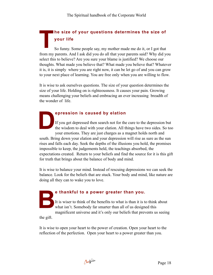## **The size of your questions determines the size of your life**

So funny. Some people say, my mother made me do it, or I got that from my parents. And I ask did you do all that your parents said? Why did you select this to believe? Are you sure your blame is justified? We choose our thoughts. What made you believe that? What made you believe that? Whatever it is, it is simply where you are right now, it can be let go of and you can grow to your next place of learning. You are free only when you are willing to flow.

It is wise to ask ourselves questions. The size of your question determines the size of your life. Holding on is righteousness. It causes your pain. Growing means challenging your beliefs and embracing an ever increasing breadth of the wonder of life.

**Example 18 Constant 19 Constant 19 Constant 19 Constant 19 Constant 19 Constant 19 Constant 19 Constant 19 Constant 19 Constant 19 Constant 19 Constant 19 Constant 19 Constant 19 Constant 19 Constant 19 Constant 19 Consta** If you get depressed then search not for the cure to the depression but the wisdom to deal with your elation. All things have two sides. So too your emotions. They are just charges as a magnet holds north and south. Bring down your elation and your depression will rise as sure as the sun rises and falls each day. Seek the depths of the illusions you hold, the promises impossible to keep, the judgements held, the teachings absorbed, the expectations created. Return to your beliefs and find the source for it is this gift for truth that brings about the balance of body and mind.

It is wise to balance your mind. Instead of rescuing depressions we can seek the balance. Look for the beliefs that are stuck. Your body and mind, like nature are doing all they can to wake you to love.

**Example thankful to a power greater than you.**<br>It is wiser to think of the benefits to what is than it is to what isn't. Somebody far smarter than all of us designe magnificent universe and it's only our beliefs that prev It is wiser to think of the benefits to what is than it is to think about what isn't. Somebody far smarter than all of us designed this magnificent universe and it's only our beliefs that prevents us seeing

the gift.

It is wise to open your heart to the power of creation. Open your heart to the reflection of the perfection. Open your heart to a power greater than you.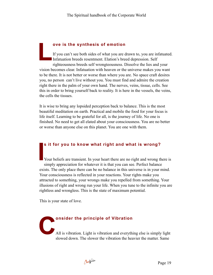**Love is the synthesis of emotion**<br>If you can't see both sides of what you are d<br>Infatuation breeds resentment. Elation's bree<br>righteousness breeds self wrongteousness. D If you can't see both sides of what you are drawn to, you are infatuated. Infatuation breeds resentment. Elation's breed depression. Self righteousness breeds self wrongteousness. Dissolve the lies and your vision becomes clear. Infatuation with heaven or the universe makes you want to be there. It is not better or worse than where you are. No space craft desires you, no person can't live without you. You must find and admire the creation right there in the palm of your own hand. The nerves, veins, tissue, cells. See this in order to bring yourself back to reality. It is here in the vessels, the veins, the cells the tissues.

It is wise to bring any lopsided perception back to balance. This is the most beautiful meditation on earth. Practical and mobile the food for your focus is life itself. Learning to be grateful for all, is the journey of life. No one is finished. No need to get all elated about your consciousness. You are no better or worse than anyone else on this planet. You are one with them.

### **s it for you to know what right and what is wrong?**

**I** Your beliefs are transient. In your heart there are no right and wrong there is simply appreciation for whatever it is that you can see. Perfect balance exists. The only place there can be no balance in this universe is in your mind. Your consciousness is reflected in your reactions. Your rights make you attracted to something, your wrongs make you repelled from something. Your illusions of right and wrong run your life. When you tune to the infinite you are rightless and wrongless. This is the state of maximum potential.

This is your state of love.

**Consider the principle of Vibration**  All is vibration. Light is vibration and everything else is simply light slowed down. The slower the vibration the heavier the matter. Same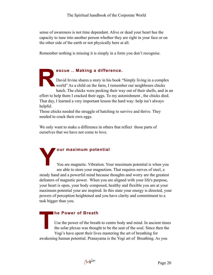sense of awareness is not time dependant. Alive or dead your heart has the capacity to tune into another person whether they are right in your face or on the other side of the earth or not physically here at all.

Remember nothing is missing it is simply in a form you don't recognise.

**Rescue .. Making a difference.**<br>David Irvine shares a story in his book "world" As a child on the farm, I remember hatch. The chicks were necking their way David Irvine shares a story in his book "Simply living in a complex world" As a child on the farm, I remember our neighbours chicks

hatch. The chicks were pecking their way out of their shells, and in an effort to help them I cracked their eggs. To my astonishment , the chicks died. That day, I learned a very important lesson the hard way: help isn't always helpful.

Those chicks needed the struggle of hatching to survive and thrive. They needed to crack their own eggs.

We only want to make a difference in others that reflect those parts of ourselves that we have not come to love.

### **Your maximum potential**

You are magnetic. Vibration. Your maximum potential is when you are able to store your magnetism. That requires nerves of steel, a steady hand and a powerful mind because thoughts and worry are the greatest defeaters of magnetic power. When you are aligned with your life's purpose, your heart is open, your body composed, healthy and flexible you are at your maximum potential your are inspired. In this state your energy is directed, your powers of perception heightened and you have clarity and commitment to a task bigger than you.

**The Power of Breath**<br>Use the power of the breath<br>the solar plexus was though<br>Vogi's have spent their live Use the power of the breath to centre body and mind. In ancient times the solar plexus was thought to be the seat of the soul. Since then the Yogi's have spent their lives mastering the art of breathing for

awakening human potential. Pranayama is the Yogi art of Breathing. As you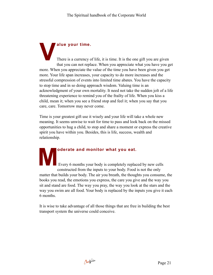**Value your time.** 

There is a currency of life, it is time. It is the one gift you are given that you can not replace. When you appreciate what you have you get more. When you appreciate the value of the time you have been given you get more. Your life span increases, your capacity to do more increases and the stressful compression of events into limited time abates. You have the capacity to stop time and in so doing approach wisdom. Valuing time is an acknowledgment of your own mortality. It need not take the sudden jolt of a life threatening experience to remind you of the frailty of life. When you kiss a child, mean it; when you see a friend stop and feel it; when you say that you care, care. Tomorrow may never come.

Time is your greatest gift use it wisely and your life will take a whole new meaning. It seems unwise to wait for time to pass and look back on the missed opportunities to hug a child, to stop and share a moment or express the creative spirit you have within you. Besides, this is life, success, wealth and relationship.

**Moderate and monitor what you eat.**<br>Every 6 months your body is completely replace constructed from the inputs to your body. Eood is Every 6 months your body is completely replaced by new cells constructed from the inputs to your body. Food is not the only matter that builds your body. The air you breath, the thoughts you consume, the books you read, the emotions you express, the care you give and the way you sit and stand are food. The way you pray, the way you look at the stars and the way you swim are all food. Your body is replaced by the inputs you give it each 6 months.

It is wise to take advantage of all those things that are free in building the best transport system the universe could conceive.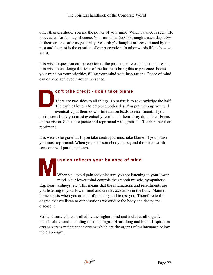other than gratitude. You are the power of your mind. When balance is seen, life is revealed for its magnificence. Your mind has 85,000 thoughts each day. 70% of them are the same as yesterday. Yesterday's thoughts are conditioned by the past and the past is the creation of our perception. In other words life is how we see it.

It is wise to question our perception of the past so that we can become present. It is wise to challenge illusions of the future to bring this to presence. Focus your mind on your priorities filling your mind with inspirations. Peace of mind can only be achieved through presence.

**Don't take credit - don't take blame**<br>There are two sides to all things. To praise is to<br>The truth of love is to embrace both sides. You There are two sides to all things. To praise is to acknowledge the half. The truth of love is to embrace both sides. You put them up you will eventually put them down. Infatuation leads to resentment. If you praise somebody you must eventually reprimand them. I say do neither. Focus on the vision. Substitute praise and reprimand with gratitude. Teach rather than reprimand.

It is wise to be grateful. If you take credit you must take blame. If you praise you must reprimand. When you raise somebody up beyond their true worth someone will put them down.

## **Muscles reflects your balance of mind**

.

When you avoid pain seek pleasure you are listening to your lower mind. Your lower mind controls the smooth muscle, sympathetic.

E.g. heart, kidneys, etc. This means that the infatuations and resentments are you listening to your lower mind and creates oxidation in the body. Maintain homeostasis when you are out of the body and to test you. Therefore to the degree that we listen to our emotions we oxidise the body and decay and disease it.

Strident muscle is controlled by the higher mind and includes all organic muscle above and including the diaphragm. Heart, lung and brain. Inspiration organs versus maintenance organs which are the organs of maintenance below the diaphragm.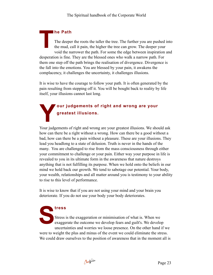**The Path**<br>The deeper<br>the mud, can<br>void the na The deeper the roots the taller the tree. The further you are pushed into the mud, call it pain, the higher the tree can grow. The deeper your void the narrower the path. For some the edge between inspiration and desperation is fine. They are the blessed ones who walk a narrow path. For them one step off the path brings the realisation of divergence. Divergence is the fall into the emotions. You are blessed by your pain, it awakens the complacency, it challenges the uncertainty, it challenges illusions.

It is wise to have the courage to follow your path. It is often generated by the pain resulting from stepping off it. You will be bought back to reality by life itself, your illusions cannot last long.

## **Your judgements of right and wrong are your greatest illusions.**

Your judgements of right and wrong are your greatest illusions. We should ask how can there be a right without a wrong. How can there be a good without a bad, how can there be a pain without a pleasure. These are your illusions. They lead you headlong to a state of delusion. Truth is never in the hands of the many. You are challenged to rise from the mass consciousness through either your commitment to challenge or your pain. Either way your purpose in life is revealed to you in its ultimate form in the awareness that nature destroys anything that is not fulfilling its purpose. When we hold onto the beliefs in our mind we hold back our growth. We tend to sabotage our potential. Your body, your wealth, relationships and all matter around you is testimony to your ability to rise to this level of performance.

It is wise to know that if you are not using your mind and your brain you deteriorate. If you do not use your body your body deteriorates.



Stress is the exaggeration or minimisation of what is. When we exaggerate the outcome we develop fears and guilt's. We develop uncertainties and worries we loose presence. On the other hand if we

were to weight the plus and minus of the event we could eliminate the stress. We could draw ourselves to the position of awareness that in the moment all is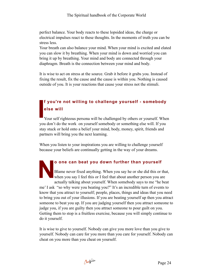perfect balance. Your body reacts to these lopsided ideas, the charge or electrical impulses react to these thoughts. In the moments of truth you can be stress less.

Your breath can also balance your mind. When your mind is excited and elated you can slow it by breathing. When your mind is down and worried you can bring it up by breathing. Your mind and body are connected through your diaphragm. Breath is the connection between your mind and body.

It is wise to act on stress at the source. Grab it before it grabs you. Instead of fixing the result, fix the cause and the cause is within you. Nothing is caused outside of you. It is your reactions that cause your stress not the stimuli.

## **f you're not willing to challenge yourself - somebody else will**

**I** Your self righteous persona will be challenged by others or yourself. When you don't do the work on yourself somebody or something else will. If you stay stuck or hold onto a belief your mind, body, money, spirit, friends and partners will bring you the next learning.

When you listen to your inspirations you are willing to challenge yourself because your beliefs are continually getting in the way of your dreams.

**No one can beat you down further than yourself<br>
Blame never fixed anything. When you say he or she did this or t<br>
when you say I feel this or I feel that about another person you are<br>
actually talking about yourself. When** Blame never fixed anything. When you say he or she did this or that, when you say I feel this or I feel that about another person you are actually talking about yourself. When somebody says to me "he beat

me' I ask "so why were you beating you?" It's an incredible turn of events to know that you attract to yourself; people, places, things and ideas that you need to bring you out of your illusions. If you are beating yourself up then you attract someone to beat you up. If you are judging yourself then you attract someone to judge you, if you are guilty then you attract someone to pour guilt on you. Getting them to stop is a fruitless exercise, because you will simply continue to do it yourself.

It is wise to give to yourself. Nobody can give you more love than you give to yourself. Nobody can care for you more than you care for yourself. Nobody can cheat on you more than you cheat on yourself.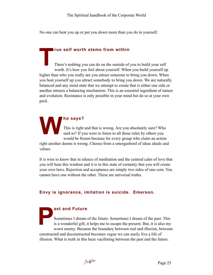No one can beat you up or put you down more than you do to yourself.

**True self worth stems from within<br>There's nothing you can do on the outside of yourth It's how you feel about yourself. When** There's nothing you can do on the outside of you to build your self worth. It's how you feel about yourself. When you build yourself up higher than who you really are you attract someone to bring you down. When you beat yourself up you attract somebody to bring you down. We are naturally balanced and any mind state that we attempt to create that is either one side or another attracts a balancing mechanism. This is an essential ingredient of nature and evolution. Resistance is only possible in your mind but do so at your own peril.

**Music Says?**<br>
This is right a<br>
said so? If you This is right and that is wrong. Are you absolutely sure? Who said so? If you were to listen to all those rules by others you would be frozen because for every group who claim an action right another deems it wrong. Choose from a smorgasbord of ideas ideals and values.

It is wise to know that in silence of meditation and the centred calm of love that you will hear this wisdom and it is in this state of certainty that you will create your own laws. Rejection and acceptance are simply two sides of one coin. You cannot have one without the other. These are universal truths.

### **Envy is ignorance, imitation is suicide. Emerson.**

**Past and Future**<br> **Past and Future**<br> **Past and Future**<br> **Past and Future**<br> **Past and Future**<br> **Past and Future**<br> **Past and Past and Past and Past and Past and Past and Past and Past and Past and Past and Past and Past and** Sometimes I dream of the future. Sometimes I dream of the past. This is a wonderful gift, it helps me to escape the present. But, it is also my worst enemy. Because the boundary between real and illusion, between constructed and deconstructed becomes vague we can easily live a life of

illusion. What is truth in this haze vacillating between the past and the future.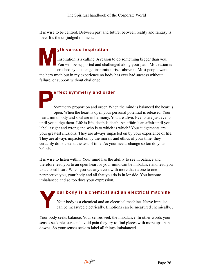It is wise to be centred. Between past and future, between reality and fantasy is love. It's the un-judged moment.

## **Myth versus inspiration**<br>Inspiration is a calling. A reasor<br>You will be supported and chal Inspiration is a calling. A reason to do something bigger than you. You will be supported and challenged along your path. Motivation is crushed by challenge, inspiration rises above it. Most people want the hero myth but in my experience no body has ever had success without failure, or support without challenge.

## **Perfect symmetry and order**

Symmetry proportion and order. When the mind is balanced the heart is open. When the heart is open your personal potential is released. Your heart, mind body and soul are in harmony. You are alive. Events are just events until you judge them. Life is life, death is death. An affair is an affair until you label it right and wrong and who is to which is which? Your judgements are your greatest illusions. They are always impacted on by your experience of life. They are always impacted on by the morals and ethics of your time, they certainly do not stand the test of time. As your needs change so too do your beliefs.

It is wise to listen within. Your mind has the ability to see in balance and therefore lead you to an open heart or your mind can be imbalance and lead you to a closed heart. When you see any event with more than a one to one perspective you, your body and all that you do is in lopside. You become imbalanced and so too does your expression.

Your body is a chemical and an electrical machine Your body is a chemical and an electrical machine. Nerve impulse can be measured electrically. Emotions can be measured chemically. Your body is a chemical and an electrical machine. Nerve impulse can be measured electrically. Emotions can be measured chemically. .

Your body seeks balance. Your senses seek the imbalance. In other words your senses seek pleasure and avoid pain they try to find places with more ups than downs. So your senses seek to label all things imbalanced.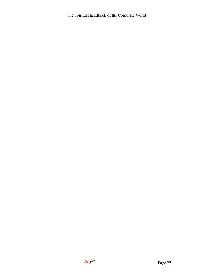The Spiritual handbook of the Corporate World

 $\mathcal{C}_{\text{AoiW}}^{A \text{Lkn}}$  Page 27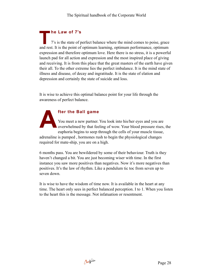## **The Law of 7's**<br>
7's is the state of poor and rest. It is the point of 7's is the state of perfect balance where the mind comes to poise, grace and rest. It is the point of optimum learning, optimum performance, optimum expression and therefore optimum love. Here there is no stress, it is a powerful launch pad for all action and expression and the most inspired place of giving and receiving. It is from this place that the great masters of the earth have given their all. To the other extreme lies the perfect imbalance. It is the mind state of illness and disease, of decay and ingratitude. It is the state of elation and depression and certainly the state of suicide and loss.

It is wise to achieve this optimal balance point for your life through the awareness of perfect balance.

**First the Ball game**<br>You meet a new partner.<br>Overwhelmed by that feel<br>euphoria begins to seen the You meet a new partner. You look into his/her eyes and you are overwhelmed by that feeling of wow. Your blood pressure rises, the euphoria begins to seep through the cells of your muscle tissue, adrenaline is pumped , hormones rush to begin the physiological changes required for mate-ship, you are on a high.

6 months pass. You are bewildered by some of their behaviour. Truth is they haven't changed a bit. You are just becoming wiser with time. In the first instance you saw more positives than negatives. Now it's more negatives than positives. It's the law of rhythm. Like a pendulum tic toc from seven up to seven down.

It is wise to have the wisdom of time now. It is available in the heart at any time. The heart only sees in perfect balanced perception. I to 1. When you listen to the heart this is the message. Not infatuation or resentment.

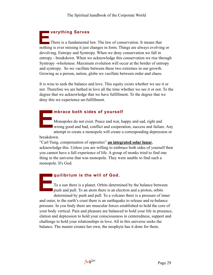**Everything Serves**  There is a fundamental law. The law of conservation. It means that nothing is ever missing it just changes in form. Things are always evolving or devolving. Entropy and Syntropy. When we deny conservation we fall in entropy - breakdown. When we acknowledge this conservation we rise through Syntropy -wholeness. Maximum evolution will occur at the border of entropy and syntropy. So we vacillate between these two extremes in our growth. Growing as a person, nation, globe we vacillate between order and chaos.

It is wise to seek the balance and love. This equity exists whether we see it or not. Therefore we are bathed in love all the time whether we see it or not. To the degree that we acknowledge that we have fulfillment. To the degree that we deny this we experience un-fulfillment.

**EMBRACE STATES AND SIDES STATES AND MONODRESS AND SIDE STATES AND SIDE STATES AND SIDE STATES AND SIDE STATES ASSESSMENT AND SIDE STATES A 2 monopole will create a** Monopoles do not exist. Peace and war, happy and sad, right and wrong good and bad, conflict and cooperation, success and failure. Any attempt to create a monopole will create a corresponding depression or breakdown.

"Carl Yung, compensation of opposites" **an integrated solar lunar**, acknowledge this. Unless you are willing to embrace both sides of yourself then you cannot have a full experience of life. A group of monks tried to find one thing in the universe that was monopole. They were unable to find such a monopole. It's God.

**Equilibrium is the will of God.**<br>To a sun there is a planet. Orbits determing push and pull. To an atom there is an electroming determined by push and pull. To a volcate To a sun there is a planet. Orbits determined by the balance between push and pull. To an atom there is an electron and a proton, orbits determined by push and pull. To a volcano there is a pressure of inner and outer, to the earth's crust there is an earthquake to release and re-balance pressure. In you body there are muscular forces established to hold the core of your body vertical. Pain and pleasure are balanced to hold your life in presence, elation and depression to hold your consciousness in centeredness, support and challenge to hold your relationships in love. All in this universe seeks the balance. The master creates her own, the neophyte has it done for them.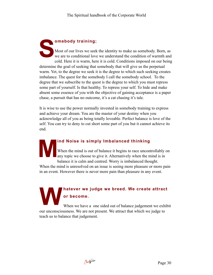**Somebody training;**<br>Most of our lives we seek<br>we are to conditional love<br>cold Here it is warm here Most of our lives we seek the identity to make us somebody. Born, as we are to conditional love we understand the condition of warmth and cold. Here it is warm, here it is cold. Conditions imposed on our being determine the goal of seeking that somebody that will give us the perpetual warm. Yet, to the degree we seek it is the degree to which such seeking creates imbalance. The quest for the somebody I call the somebody school. To the degree that we subscribe to the quest is the degree to which you must repress some part of yourself. Is that healthy. To repress your self. To hide and make absent some essence of you with the objective of gaining acceptance is a paper chase, a pursuit that has no outcome, it's a cat chasing it's tale.

It is wise to use the power normally invested in somebody training to express and achieve your dream. You are the master of your destiny when you acknowledge all of you as being totally loveable. Perfect balance is love of the self. You can try to deny to cut short some part of you but it cannot achieve its end.

**Maintain Strate is simply Imbalanced thinking**<br>When the mind is out of balance it begins to race uncontany topic we choose to give it. Alternatively when the m<br>balance it is calm and centred Worry is imbalanced thou When the mind is out of balance it begins to race uncontrollably on any topic we choose to give it. Alternatively when the mind is in balance it is calm and centred. Worry is imbalanced thought. When the mind is unresolved on an issue is seeing more pleasure or more pain in an event. However there is never more pain than pleasure in any event.

## **Whatever we judge we breed. We create attract or become.**

When we have a one sided out of balance judgement we exhibit our unconsciousness. We are not present. We attract that which we judge to teach us to balance that judgement.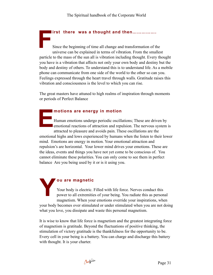**First there was a thought and then**<br>
Since the beginning of time all change and transformation of the<br>
universe can be explained in terms of vibration. From the small Since the beginning of time all change and transformation of the universe can be explained in terms of vibration. From the smallest particle to the mass of the sun all is vibration including thought. Every thought you have is a vibration that affects not only your own body and destiny but the body and destiny of others. To understand this is to understand life. As a mobile phone can communicate from one side of the world to the other so can you. Feelings expressed through the heart travel through walls. Gratitude raises this vibration and consciousness is the level to which you can rise.

The great masters have attuned to high realms of inspiration through moments or periods of Perfect Balance

**EMPLEMENT ISSUE AT A THE EMPLEMENT AND THE EMPLEMENT AND HOTEL CONSUMING A THE EMPLEMENT AND A THE EMPLEMENT AND A THE EMPLEMENT AND A THE EMPLEMENT AND A THE EMPLEMENT AND A THE EMPLEMENT AND A THE EMPLEMENT AND A THE EM** Human emotions undergo periodic oscillations; These are driven by emotional reactions of attraction and repulsion. The nervous system is attracted to pleasure and avoids pain. These oscillations are the emotional highs and lows experienced by humans when the listen to their lower mind. Emotions are energy in motion. Your emotional attraction and repulsion's are horizontal. Your lower mind drives your emotions. These are the ideas, events and things you have not yet come to be conscious of. You cannot eliminate these polarities. You can only come to see them in perfect balance Are you being used by it or is it using you.

### **You are magnetic**

Your body is electric. Filled with life force. Nerves conduct this power to all extremities of your being. You radiate this as personal magnetism. When your emotions override your inspirations, when your body becomes over stimulated or under stimulated when you are not doing what you love, you dissipate and waste this personal magnetism.

It is wise to know that life force is magnetism and the greatest integrating force of magnetism is gratitude. Beyond the fluctuations of positive thinking, the stimulation of victory gratitude is the thankfulness for the opportunity to be. Every cell in your being is a battery. You can charge and discharge this battery with thought. It is your charter.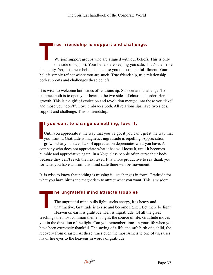### **True friendship is support and challenge.**

We join support groups who are aligned with our beliefs. This is only one side of support. Your beliefs are keeping you safe. That's their role is identity. Yet, it is these beliefs that cause you to loose the fulfillment. Your beliefs simply reflect where you are stuck. True friendship, true relationship both supports and challenges these beliefs.

It is wise to welcome both sides of relationship. Support and challenge. To embrace both is to open your heart to the two sides of chaos and order. Here is growth. This is the gift of evolution and revolution merged into those you "like" and those you "don't". Love embraces both. All relationships have two sides, support and challenge. This is friendship.

### **f you want to change something, love it;**

**I** Until you appreciate it the way that you've got it you can't get it the way that you want it. Gratitude is magnetic, ingratitude is repelling. Appreciation grows what you have, lack of appreciation depreciates what you have. A company who does not appreciate what it has will loose it, until it becomes humble and appreciative again. In a Yoga class people often curse their body because they can't reach the next level. It is more productive to say thank you for what you have as from this mind state there will be movement.

It is wise to know that nothing is missing it just changes in form. Gratitude for what you have births the magnetism to attract what you want. This is wisdom.

### **The ungrateful mind attracts troubles**

The ungrateful mind pulls light, sucks energy, it is heavy and unattractive. Gratitude is to rise and become lighter. Let there be light. Heaven on earth is gratitude. Hell is ingratitude. Of all the great teachings the most common theme is light, the source of life. Gratitude moves you in the direction of the light. Can you remember times in your life when you have been extremely thankful. The saving of a life, the safe birth of a child, the recovery from disaster. At these times even the most Atheistic one of us, raises his or her eyes to the heavens in words of gratitude.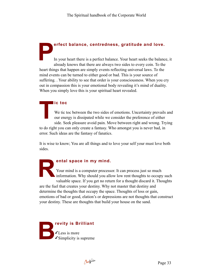## **Perfect balance, centredness, gratitude and love.**

In your heart there is a perfect balance. Your heart seeks the balance, it already knows that there are always two sides to every coin. To the heart things that happen are simply events reflecting universal laws. To the mind events can be turned to either good or bad. This is your source of suffering. . Your ability to see that order is your consciousness. When you cry out in compassion this is your emotional body revealing it's mind of duality. When you simply love this is your spiritual heart revealed.

**The Tic toc**<br>
We tic to<br>
our energy<br>
side See We tic toc between the two sides of emotions. Uncertainty prevails and our energy is dissipated while we consider the preference of either side. Seek pleasure avoid pain. Move between right and wrong. Trying to do right you can only create a fantasy. Who amongst you is never bad, in error. Such ideas are the fantasy of fanatics.

It is wise to know; You are all things and to love your self your must love both sides.

**Rental space in my mind.**<br>
Your mind is a computer processe information. Why should you allow Your mind is a computer processor. It can process just so much information. Why should you allow low rent thoughts to occupy such valuable space. If you get no return for a thought discard it. Thoughts are the fuel that creates your destiny. Why not master that destiny and determine the thoughts that occupy the space. Thoughts of loss or gain,

emotions of bad or good, elation's or depressions are not thoughts that construct your destiny. These are thoughts that build your house on the sand.

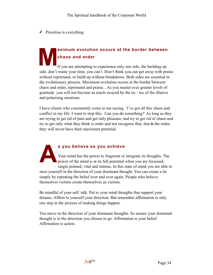### $\triangledown$  Prioritise is everything

## **Maximum evolution occurs at the border between chaos and order**

If you are attempting to experience only one side, the building up side, don't waste your time, you can't. Don't think you can get away with praise without reprimand, or build up without breakdown. Both sides are essential in the evolutionary process. Maximum evolution occurs at the border between chaos and order, reprimand and praise... As you master ever greater levels of gratitude you will not become as much swayed by the tic - toc of the illusive and polarising emotions.

I have clients who consistently come to me saying, `I've got all this chaos and conflict in my life. I want to stop this. Can you do something?' As long as they are trying to get rid of pain and get only pleasure, and try to get rid of chaos and try to get only what they think is order and not recognise that, that **is** the order, they will never have their maximum potential.

**As you believe so you achieve**<br>
Your mind has the power to fragment or<br>
power of the mind is at its full potential v<br>
single pointed with and intense. In this s Your mind has the power to fragment or integrate its thoughts. The power of the mind is at its full potential when you are focussed, single pointed, vital and intense. In this state of mind you are able to steer yourself in the direction of your dominant thought. You can create a lie simply by repeating the belief over and over again. People who believe themselves victims create themselves as victims.

Be mindful of your self talk. Put to your mind thoughts that support your dreams. Affirm to yourself your direction. But remember affirmation is only one step in the process of making things happen.

You move in the direction of your dominant thoughts. So ensure your dominant thought is in the direction you choose to go. Affirmation is your belief. Affirmation is action.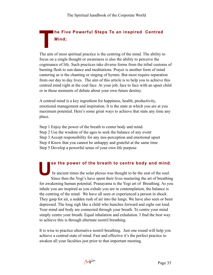## **The Five Powerful Steps To an inspired Centred Mind;**

The aim of most spiritual practice is the centring of the mind. The ability to focus on a single thought or awareness is also the ability to perceive the cognisance of life. Such practices take diverse forms from the tribal customs of burning flesh to sun-dance and meditations. Prayer is another form of mind cantering as is the chanting or singing of hymns. But most require separation from our day to day lives. The aim of this article is to help you to achieve this centred mind right at the coal face. At your job, face to face with an upset child or in those moments of debate about your own future destiny.

A centred mind is a key ingredient for happiness, health, productivity, emotional management and inspiration. It is the state at which you are at you maximum potential. Here's some great ways to achieve that state any time any place.

Step 1 Enjoy the power of the breath to center body and mind. Step 2 Use the wisdom of the ages to seek the balance of any event Step 3 Accept responsibility for any mis-perception and emotional upset Step 4 Know that you cannot be unhappy and grateful at the same time Step 5 Develop a powerful sense of your own life purpose

**Use the power of the breath to centre body and mind.**  In ancient times the solar plexus was thought to be the seat of the soul. Since then the Yogi's have spent their lives mastering the art of breathing for awakening human potential. Pranayama is the Yogi art of Breathing. As you inhale you are inspired as you exhale you are in contemplation, the balance is the centring of the mind. We have all seen or experienced a person in shock. They gasp for air, a sudden rush of air into the lungs. We have also seen or been depressed. The long sigh like a child who hunches forward and sighs out loud. Your mind and body are connected through your breath. To centre your mind simply centre your breath. Equal inhalation and exhalation. I find the best way to achieve this is through alternate nostril breathing.

It is wise to practice alternative nostril breathing. Just one round will help you achieve a centred state of mind. Fast and effective it's the perfect practice to awaken all your faculties just prior to that important meeting.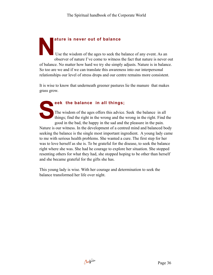External turn is never out of balance<br>
Use the wisdom of the ages to seek the b<br>
observer of nature Uye come to witness to Use the wisdom of the ages to seek the balance of any event. As an observer of nature I've come to witness the fact that nature is never out of balance. No matter how hard we try she simply adjusts. Nature is in balance. So too are we and if we can translate this awareness into our interpersonal relationships our level of stress drops and our centre remains more consistent.

It is wise to know that underneath greener pastures lie the manure that makes grass grow.

## **Seek the balance in all things;**

and she became grateful for the gifts she has.

The wisdom of the ages offers this advice. Seek the balance in all things; find the right in the wrong and the wrong in the right. Find the good in the bad, the happy in the sad and the pleasure in the pain. Nature is our witness. In the development of a centred mind and balanced body seeking the balance is the single most important ingredient. A young lady came to me with serious health problems. She wanted a cure. The first step for her was to love herself as she is. To be grateful for the disease, to seek the balance right where she was. She had he courage to explore her situation. She stopped

resenting others for what they had, she stopped hoping to be other than herself

This young lady is wise. With her courage and determination to seek the balance transformed her life over night.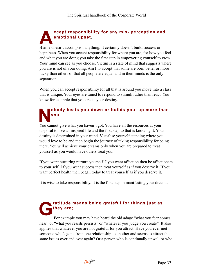## **Accept responsibility for any mis- perception and emotional upset**.

Blame doesn't accomplish anything. It certainly doesn't build success or happiness. When you accept responsibility for where you are, for how you feel and what you are doing you take the first step in empowering yourself to grow. Your mind can see as you choose. Victim is a state of mind that suggests where you are is not of your doing. Am I to accept that some are born better or more lucky than others or that all people are equal and in their minds is the only separation.

When you can accept responsibility for all that is around you move into a class that is unique. Your eyes are tuned to respond to stimuli rather than react. You know for example that you create your destiny.

## **Nobody beats you down or builds you up more than you.**

You cannot give what you haven't got. You have all the resources at your disposal to live an inspired life and the first step to that is knowing it. Your destiny is determined in your mind. Visualise yourself standing where you would love to be and then begin the journey of taking responsibility for being there. You will achieve your dreams only when you are prepared to treat yourself as you would have others treat you.

If you want nurturing nurture yourself. I you want affection then be affectionate to your self. I f you want success then treat yourself as if you deserve it. If you want perfect health then began today to treat yourself as if you deserve it.

It is wise to take responsibility. It is the first step in manifesting your dreams.

## ratitude means being grateful for things just as **they are;**

 For example you may have heard the old adage "what you fear comes near" or "what you resists persists" or "whatever you judge you create". It also applies that whatever you are not grateful for you attract. Have you ever met someone who's gone from one relationship to another and seems to attract the same issues over and over again? Or a person who is continually unwell or who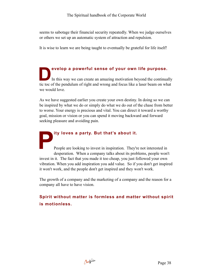seems to sabotage their financial security repeatedly. When we judge ourselves or others we set up an automatic system of attraction and repulsion.

It is wise to learn we are being taught to eventually be grateful for life itself!

**Develop a powerful sense of your own life purpose.** In this way we can create an amazing motivation beyond the continually tic toc of the pendulum of right and wrong and focus like a laser beam on what we would love.

As we have suggested earlier you create your own destiny. In doing so we can be inspired by what we do or simply do what we do out of the chase from better to worse. Your energy is precious and vital. You can direct it toward a worthy goal, mission or vision or you can spend it moving backward and forward seeking pleasure and avoiding pain.

**Physics a party. But that's about it.**<br>
People are looking to invest in inspiration. They're<br>
deeperties When a company talks about its prob People are looking to invest in inspiration. They're not interested in desperation. When a company talks about its problems, people won't invest in it. The fact that you made it too cheap, you just followed your own vibration. When you add inspiration you add value. So if you don't get inspired it won't work, and the people don't get inspired and they won't work.

The growth of a company and the marketing of a company and the reason for a company all have to have vision.

**Spirit without matter is formless and matter without spirit is motionless.**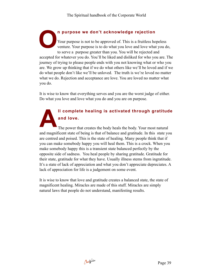## **ON PURPOSE WE don't acknowledge rejection**<br>
Your purpose is not to be approved of. This is a fruitless how<br>
venture. Your purpose is to do what you love and love what<br>
to serve a purpose greater than you. You will be reje Your purpose is not to be approved of. This is a fruitless hopeless venture. Your purpose is to do what you love and love what you do, to serve a purpose greater than you. You will be rejected and accepted for whatever you do. You'll be liked and disliked for who you are. The journey of trying to please people ends with you not knowing what or who you are. We grow up thinking that if we do what others like we'll be loved and if we do what people don't like we'll be unloved. The truth is we're loved no matter what we do. Rejection and acceptance are love. You are loved no matter what you do.

It is wise to know that everything serves and you are the worst judge of either. Do what you love and love what you do and you are on purpose.

## **All complete healing is activated through gratitude and love.**

The power that creates the body heals the body. Your most natural and magnificent state of being is that of balance and gratitude. In this state you are centred and poised. This is the state of healing. Many people think that if you can make somebody happy you will heal them. This is a crock. When you make somebody happy this is a transient state balanced perfectly by the opposite side of sadness. You heal people by sharing gratitude. Gratitude for their state, gratitude for what they have. Usually illness stems from ingratitude. It's a state of lack of appreciation and what you don't appreciate depreciates. A lack of appreciation for life is a judgement on some event.

It is wise to know that love and gratitude creates a balanced state, the state of magnificent healing. Miracles are made of this stuff. Miracles are simply natural laws that people do not understand, manifesting results.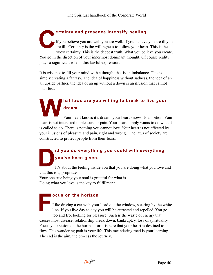**Certainty and presence intensify healing**<br>
If you believe you are well you are well. If you believe<br>
are ill. Certainty is the willingness to follow your heart<br>
truest certainty. This is the deepest truth. What you beli If you believe you are well you are well. If you believe you are ill you are ill. Certainty is the willingness to follow your heart. This is the truest certainty. This is the deepest truth. What you believe you create. You go in the direction of your innermost dominant thought. Of course reality plays a significant role in this lawful expression.

It is wise not to fill your mind with a thought that is an imbalance. This is simply creating a fantasy. The idea of happiness without sadness, the idea of an all upside partner, the idea of an up without a down is an illusion that cannot manifest.

## **What laws are you willing to break to live your dream**

Your heart knows it's dream. your heart knows its ambition. Your heart is not interested in pleasure or pain. Your heart simply wants to do what it is called to do. There is nothing you cannot love. Your heart is not affected by your illusions of pleasure and pain, right and wrong. The laws of society are constructed to protect people from their fears.

# **Did you do everything you could with everything you've been given.**<br>It's about the feeling inside you that you are doing what you love and **you've been given.**

that this is appropriate. Your one true being your soul is grateful for what is Doing what you love is the key to fulfillment.

**Focus on the horizon**<br>Like driving a car with your<br>line. If you live day to day y<br>too and fro-looking for plear Like driving a car with your head out the window, steering by the white line. If you live day to day you will be attracted and repelled. You go too and fro, looking for pleasure. Such is the waste of energy that causes most disease, relationship break down, bankruptcy, loss of spirituality. Focus your vision on the horizon for it is here that your heart is destined to flow. This wandering path is your life. This meandering road is your learning. The end is the aim, the process the journey,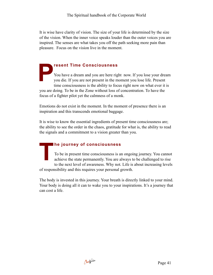It is wise have clarity of vision. The size of your life is determined by the size of the vision. When the inner voice speaks louder than the outer voices you are inspired. The senses are what takes you off the path seeking more pain than pleasure. Focus on the vision live in the moment.

**Present Time Consciousness**<br>
You have a dream and you are here right<br>
you die. If you are not present in the m<br>
time consciousness is the ability to focu You have a dream and you are here right now. If you lose your dream you die. If you are not present in the moment you lose life. Present time consciousness is the ability to focus right now on what ever it is you are doing. To be in the Zone without loss of concentration. To have the focus of a fighter pilot yet the calmness of a monk.

Emotions do not exist in the moment. In the moment of presence there is an inspiration and this transcends emotional baggage.

It is wise to know the essential ingredients of present time consciousness are; the ability to see the order in the chaos, gratitude for what is, the ability to read the signals and a commitment to a vision greater than you.

### **The journey of consciousness**

To be in present time consciousness is an ongoing journey. You cannot achieve the state permanently. You are always to be challenged to rise to the next level of awareness. Why not. Life is about increasing levels of responsibility and this requires your personal growth.

The body is invested in this journey. Your breath is directly linked to your mind. Your body is doing all it can to wake you to your inspirations. It's a journey that can cost a life.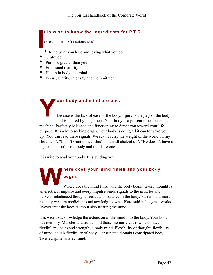# **I t is wise to know the ingredients for P.T.C**

(Present Time Consciousness)

- ♦Doing what you love and loving what you do
- Gratitude
- Purpose greater than you
- **Emotional maturity**
- ♦ Health in body and mind
- ♦ Focus, Clarity, intensity and Commitment.

**Your body and mind are one.**<br>Disease is the lack of ease of the body.<br>and is caused by judgement. Your body. Disease is the lack of ease of the body. Injury is the jury of the body and is caused by judgement. Your body is a present time conscious machine. Perfectly balanced and functioning to direct you toward your life purpose. It is a love-seeking organ. Your body is doing all it can to wake you up. You can read these signals. We say "I carry the weight of the world on my shoulders". "I don't want to hear this". "I am all choked up". "He doesn't have a leg to stand on". Your body and mind are one.

It is wise to read your body. It is guiding you.

# **Where does your mind finish and your body begin.**<br>
Where does the mind finish and the body begin. Every thought is **begin.**

an electrical impulse and every impulse sends signals to the muscles and nerves. Imbalanced thoughts activate imbalance in the body. Eastern and more recently western medicine is acknowledging what Plato said in his great works. "Never treat the body without also treating the mind".

It is wise to acknowledge the extension of the mind into the body. Your body has memory. Muscles and tissue hold those memories. It is wise to have flexibility, health and strength in body mind. Flexibility of thought, flexibility of mind; equals flexibility of body. Constipated thoughts constipated body. Twisted spine twisted mind.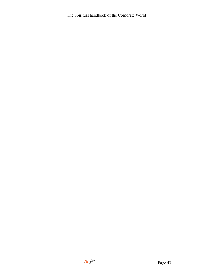The Spiritual handbook of the Corporate World

 $\mathcal{O}_{\text{Aoi}}/\sqrt{\mathcal{O}_{\text{A}}/\mathcal{O}_{\text{A}}}$  Page 43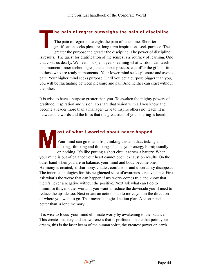### **The pain of regret outweighs the pain of discipline**

The pain of regret outweighs the pain of discipline. Short term gratification seeks pleasure, long term inspirations seek purpose. The greater the purpose the greater the discipline. The power of discipline is results. The quest for gratification of the senses is a journey of learning. One that costs us dearly. We need not spend years learning what wisdom can teach in a moment. Inner technologies, the collapse process, can offer the gifts of time to those who are ready in moments. Your lower mind seeks pleasure and avoids pain. Your higher mind seeks purpose. Until you get a purpose bigger than you, you will be fluctuating between pleasure and pain And neither can exist without the other.

It is wise to have a purpose greater than you. To awaken the mighty powers of gratitude, inspiration and vision. To share that vision with all you know and become a leader more than a manager. Live to inspire others not teach. It is between the words and the lines that the great truth of your sharing is heard.

**Most of what I worried about never happed**<br>Your mind can go to and fro, thinking this and that, ticking<br>tocking, thinking and thinking. This is your energy burnt<br>on nothing It's like putting a short circuit across a batte Your mind can go to and fro, thinking this and that, ticking and tocking, thinking and thinking. This is your energy burnt; usually on nothing. It's like putting a short circuit across a battery. When your mind is out of balance your heart cannot open, exhaustion results. On the other hand when you are in balance, your mind and body become one. Harmony is created, disharmony, chatter, confusions and uncertainty disappear. The inner technologies for this heightened state of awareness are available. First ask what's the worse that can happen if my worry comes true and know that there's never a negative without the positive. Next ask what can I do to minimise this, in other words if you want to reduce the downside you'll need to reduce the upside too. Next create an action plan to move you in the direction of where you want to go. That means a logical action plan. A short pencil is better than a long memory.

It is wise to focus your mind eliminate worry by awakening to the balance. This creates mastery and an awareness that is profound, make that point your dream, this is the laser beam of the human spirit, the greatest power on earth.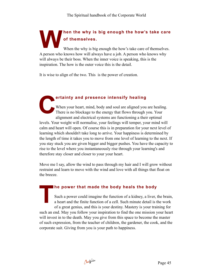## **When the why is big enough the how's take care of themselves.**

When the why is big enough the how's take care of themselves. A person who knows how will always have a job. A person who knows why will always be their boss. When the inner voice is speaking, this is the inspiration. The how is the outer voice this is the detail.

It is wise to align of the two. This is the power of creation.

**Certainty and presence intensify healing**<br>When your heart, mind, body and soul are aligned you<br>There is no blockage to the energy that flows through y<br>alignment and electrical systems are functioning a their When your heart, mind, body and soul are aligned you are healing.

There is no blockage to the energy that flows through you. Your alignment and electrical systems are functioning a their optimal levels. Your weight will normalise, your feelings will temper, your mind will calm and heart will open. Of course this is in preparation for your next level of learning which shouldn't take long to arrive. Your happiness is determined by the length of time it takes you to move from one level of learning to the next. If you stay stuck you are given bigger and bigger pushes. You have the capacity to rise to the level where you instantaneously rise through your learning's and therefore stay closer and closer to your your heart.

Move me I say, allow the wind to pass through my hair and I will grow without restraint and learn to move with the wind and love with all things that float on the breeze.

### **The power that made the body heals the body**

Such a power could imagine the function of a kidney, a liver, the brain, a heart and the finite function of a cell. Such minute detail is the work of a great genius, and this is your destiny. Mastery is your training for such an end. May you follow your inspiration to find the one mission your heart will invest in to the death. May you give from this space to become the master of such expression, from the teacher of children, the gardener, the cook, and the corporate suit. Giving from you is your path to happiness.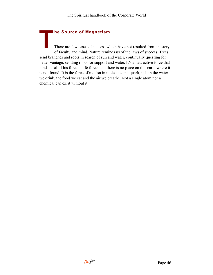### ■he Source of Magnetism.

There are few cases of success which have not resulted from mastery of faculty and mind. Nature reminds us of the laws of success. Trees send branches and roots in search of sun and water, continually questing for better vantage, sending roots for support and water. It's an attractive force that binds us all. This force is life force, and there is no place on this earth where it is not found. It is the force of motion in molecule and quark, it is in the water we drink, the food we eat and the air we breathe. Not a single atom nor a chemical can exist without it.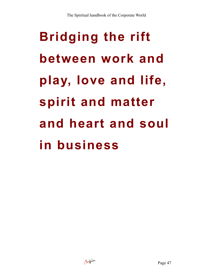# **Bridging the rift between work and play, love and life, spirit and matter and heart and soul in business**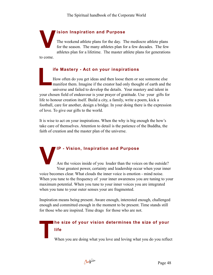**Vision Inspiration and Purpose**<br>The weekend athlete plans for the day. The form the season. The many athletes plan for a lifetime. The master at The weekend athlete plans for the day. The mediocre athlete plans for the season. The many athletes plan for a few decades. The few athletes plan for a lifetime. The master athlete plans for generations

to come.

**Life Mastery - Act on your inspirations**<br>
How often do you get ideas and then loose them or s<br>
manifest them. Imagine if the creator had only thoug<br>
universe and failed to develop the details. Your mast How often do you get ideas and then loose them or see someone else manifest them. Imagine if the creator had only thought of earth and the universe and failed to develop the details. Your mastery and talent in your chosen field of endeavour is your prayer of gratitude. Use your gifts for life to honour creation itself. Build a city, a family, write a poem, kick a football, care for another, design a bridge. In your doing there is the expression of love. To give our gifts to the world.

It is wise to act on your inspirations. When the why is big enough the how's take care of themselves. Attention to detail is the patience of the Buddha, the faith of creation and the master plan of the universe.

**VIP - Vision, Inspiration and Purpose** 

Are the voices inside of you louder than the voices on the outside? Your greatest power, certainty and leadership occur when your inner voice becomes clear. What clouds the inner voice is emotion - mind noise. When you tune to the frequency of your inner awareness you are tuning to your maximum potential. When you tune to your inner voices you are integrated when you tune to your outer senses your are fragmented.

Inspiration means being present. Aware enough, interested enough, challenged enough and committed enough in the moment to be present. Time stands still for those who are inspired. Time drags for those who are not.

## **The size of your vision determines the size of your life**

When you are doing what you love and loving what you do you reflect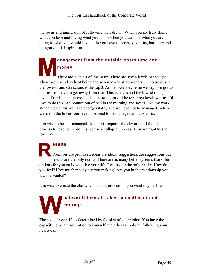the focus and immersion of following their dream. When you are truly doing what you love and loving what you do, or when you can link what you are doing to what you would love to do you have the energy, vitality, harmony and integration of inspiration.

# **Management from the outside costs time and <br>
There are 7 levels of the brain. There are seven levels of thought. money**

There are seven levels of being and seven levels of awareness. Unconscious is the lowest four. Conscious is the top 3. At the lowest extreme we say I've got to do this, or I have to get away from that. This is stress and the lowest thought level of the human specie. It also causes disease. The top three levels we say I'd love to do this. We bounce out of bed in the morning and say "I love my work". When we do this we have energy vitality and we need not be managed. When we are in the lower four levels we need to be managed and this costs.

It is wise to be self managed. To do this requires the elevation of thought process to love to. To do this we use a collapse process. Turn your got to's to love to's.

## **Results**<br>Promises Promises are promises, ideas are ideas, suggestions are suggestions but results are the only reality. There are as many belief systems that offer options for you on how to live your life. Results are the only reality. How do you feel? How much money are you making? Are you in the relationship you always wanted?

It is wise to create the clarity, vision and inspiration you want in your life.

## **Whatever it takes it takes commitment and courage.**

The size of your life is determined by the size of your vision. You have the capacity to be an inspiration to yourself and others simply by following your hearts call.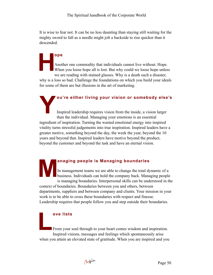It is wise to fear not. It can be no less daunting than staying still waiting for the mighty sword to fall as a needle might jolt a backside to rise quicker than it descended.

**Hope**<br> **Hope**<br> **Hope When**<br> **We are** Another one commodity that individuals cannot live without. Hope. When you loose hope all is lost. But why could we loose hope unless we are reading with stained glasses. Why is a death such a disaster, why is a loss so bad. Challenge the foundations on which you build your ideals for some of them are but illusions in the art of marketing.

## **You're either living your vision or somebody else's**

Inspired leadership requires vision from the inside, a vision larger than the individual. Managing your emotions is an essential ingredient of inspiration. Turning the wasted emotional energy into inspired vitality turns stressful judgements into true inspiration. Inspired leaders have a greater motive, something beyond the day, the week the year, beyond the 10 years and beyond that. Inspired leaders have motive beyond the product, beyond the customer and beyond the task and have an eternal vision.

**Managing boundaries**<br>
In management teams we are able to change the total dy<br>
business. Individuals can hold the company back. Mana<br>
is managing boundaries. Internersonal skills can be under In management teams we are able to change the total dynamic of a business. Individuals can hold the company back. Managing people is managing boundaries. Interpersonal skills can be understood in the context of boundaries. Boundaries between you and others, between departments, suppliers and between company and clients. Your mission in your work is to be able to cross these boundaries with respect and finesse. Leadership requires that people follow you and step outside their boundaries.

**Love lists**<br> **Love lists**<br> **Love From your set of the lines<br>
<b>Lowered** visit From your soul through to your heart comes wisdom and inspiration. Inspired visions, messages and feelings which spontaneously arise when you attain an elevated state of gratitude. When you are inspired and you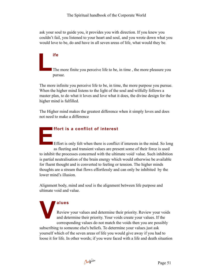ask your soul to guide you, it provides you with direction. If you knew you couldn't fail, you listened to your heart and soul, and you wrote down what you would love to be, do and have in all seven areas of life, what would they be.

## **Life**<br> **Life**<br> **Life**<br> **Life** The more finite you perceive life to be, in time , the more pleasure you pursue.

The more infinite you perceive life to be, in time, the more purpose you pursue. When the higher mind listens to the light of the soul and wilfully follows a master plan, to do what it loves and love what it does, the divine design for the higher mind is fulfilled.

The Higher mind makes the greatest difference when it simply loves and does not need to make a difference

**Effort is a conflict of interest**<br>**Effort** is only felt when there is conflict<br>as flecting and transient values are pres Effort is only felt when there is conflict if interests in the mind. So long as fleeting and transient values are present some of their force is used to inhibit the processes concerned with the ultimate void/ value. Such inhibition is partial neutralisation of the brain energy which would otherwise be available for fluent thought and is converted to feeling or tension. The higher minds thoughts are a stream that flows effortlessly and can only be inhibited by the lower mind's illusion.

Alignment body, mind and soul is the alignment between life purpose and ultimate void and value.

**V**<br>Review<br>and dete Review your values and determine their priority. Review your voids and determine their priority. Your voids create your values. If the corresponding values do not match the voids then you are possibly

subscribing to someone else's beliefs. To determine your values just ask yourself which of the seven areas of life you would give away if you had to loose it for life. In other words; if you were faced with a life and death situation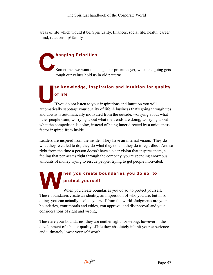areas of life which would it be. Spirituality, finances, social life, health, career, mind, relationship/ family.

**Constant of the Sometimes we want to changing Priorities** Sometimes we want to change our priorities yet, when the going gets tough our values hold us in old patterns.

## **Use knowledge, inspiration and intuition for quality of life**

If you do not listen to your inspirations and intuition you will automatically sabotage your quality of life. A business that's going through ups and downs is automatically motivated from the outside, worrying about what other people want, worrying about what the trends are doing, worrying about what the competition is doing, instead of being inner directed by a uniqueness factor inspired from inside.

Leaders are inspired from the inside. They have an internal vision. They do what they're called to do; they do what they do and they do it regardless. And so right from the time a person doesn't have a clear vision that inspires them, a feeling that permeates right through the company, you're spending enormous amounts of money trying to rescue people, trying to get people motivated.

# **When you create boundaries you do so to protect yourself**<br>
When you create boundaries you do so to protect yourself. **protect yourself**

These boundaries create an identity, an impression of who you are, but in so doing you can actually isolate yourself from the world. Judgments are your boundaries, your morals and ethics, you approval and disapproval and your considerations of right and wrong,

These are your boundaries, they are neither right nor wrong, however in the development of a better quality of life they absolutely inhibit your experience and ultimately lower your self worth.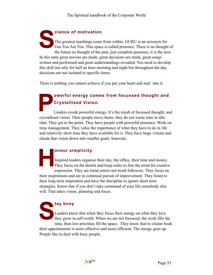**Science of motivation**<br>The greatest teachings come<br>Gee You Are You. This space<br>the future no thought of the n The greatest teachings come from within. GURU is an acronym for Gee You Are You. This space is called presence. There is no thought of the future no thought of the past, just complete presence, it is the now. In this state great movies are made, great decisions are made, great songs written and performed and great understandings revealed. You need to develop this skill not only for half an hour morning and night but throughout the day, decisions are not isolated to specific times.

There is nothing you cannot achieve if you put your heart and soul into it.

## **Powerful energy comes from focussed thought and Crystallised Vision.**

Leaders exude powerful energy. It's the result of focussed thought, and crystallised vision. Their people move faster, they do not waste time in idle chat. They get to the point. They have people with powerful presence. Work on time management. They value the importance of what they have to do in life and relatively short time they have available for it. They have huge visions and chunk that vision down into smaller goals. Innovate.

**Example 18 Solution School Server School School School School School School School School School School School School School School School School School School School School School School School School School School Schoo** Inspired leaders organise their day, the office, their time and money. They focus on the details and keep order to free the mind for creative expression. They are trend setters not trend followers. They focus on

their inspirations and are in continual pursuit of improvement. They listed to their long term inspiration and have the discipline to ignore short term strategies. Know that if you don't take command of your life somebody else will. That takes vision, planning and focus.

**Stay busy**<br>
Leaders know<br>
they grow in<br>
time then lo Leaders know that when they focus their energy on what they love they grow in self worth. When we are not focussed, the work fills the time, then low priorities fill the space. They know that to cluster book their appointments is more effective and more efficient. The energy goes up. People like to deal with busy people.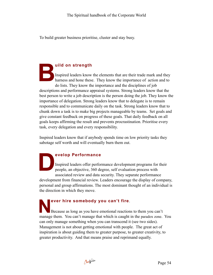To build greater business prioritise, cluster and stay busy.

**Build on strength <br>
Inspired leaders know harness and hone these<br>
do lists. They know the** Inspired leaders know the elements that are their trade mark and they harness and hone these. They know the importance of action and to do lists. They know the importance and the disciplines of job descriptions and performance appraisal systems. Strong leaders know that the best person to write a job description is the person doing the job. They know the importance of delegation. Strong leaders know that to delegate is to remain responsible and to communicate daily on the task. Strong leaders know that to chunk down a task is to make big projects manageable by teams. Set goals and give constant feedback on progress of these goals. That daily feedback on all goals keeps affirming the result and prevents procrastination. Prioritise every task, every delegation and every responsibility.

Inspired leaders know that if anybody spends time on low priority tasks they sabotage self worth and will eventually burn them out.

**Expanding Performance**<br>
Inspired leaders offer perform<br>
people, an objective, 360 degrees Inspired leaders offer performance development programs for their people, an objective, 360 degree, self evaluation process with associated review and data security. They separate performance

development from financial review. Leaders encourage the display of company, personal and group affirmations. The most dominant thought of an individual is the direction in which they move.

**Never hire somebody you can't fire.**<br>
Because as long as you have emotional reactions to them you can't manage them. You can't manage that which is caught in the paradox zone. You can only manage something when you can transcend it (see two sides). Management is not about getting emotional with people. The great act of inspiration is about guiding them to greater purpose, to greater creativity, to greater productivity. And that means praise and reprimand equally.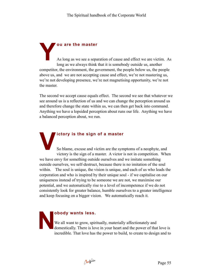**You are the master<br>As long as we see a separately dong as we always think to** As long as we see a separation of cause and effect we are victim. As long as we always think that it is somebody outside us, another competitor, the environment, the government, the people below us, the people above us, and we are not accepting cause and effect, we're not mastering us,

we're not developing presence, we're not magnetising opportunity, we're not the master.

The second we accept cause equals effect. The second we see that whatever we see around us is a reflection of us and we can change the perception around us and therefore change the state within us, we can then get back into command. Anything we have a lopsided perception about runs our life. Anything we have a balanced perception about, we run.

# **Victory is the sign of a master<br>
So blame, excuse and victim are the sym<br>
victory is the sign of a master. A victor is**

So blame, excuse and victim are the symptoms of a neophyte, and victory is the sign of a master. A victor is not in competition. When we have envy for something outside ourselves and we imitate something outside ourselves, we self-destruct, because there is no imitation of the soul within. The soul is unique, the vision is unique, and each of us who leads the corporation and who is inspired by their unique soul - if we capitalise on our uniqueness instead of trying to be someone we are not, we maximise our potential, and we automatically rise to a level of incompetence if we do not consistently look for greater balance, humble ourselves to a greater intelligence and keep focusing on a bigger vision. We automatically reach it.

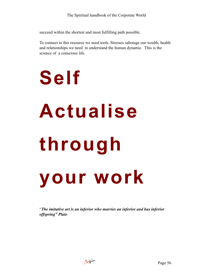succeed within the shortest and most fulfilling path possible.

To connect to this resource we need tools. Stresses sabotage our wealth, health and relationships we need to understand the human dynamic. This is the science of a conscious life.

# **Self Actualise through your work**

"*The imitative art is an inferior who marries an inferior and has inferior offspring" Plato*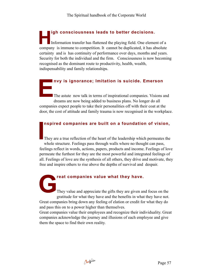**High consciousness leads to better decisions.** Information transfer has flattened the playing field. One element of a company is immune to competition. It cannot be duplicated, it has absolute certainty and is has continuity of performance over days, months and years. Security for both the individual and the firm. Consciousness is now becoming recognised as the dominant route to productivity, health, wealth, indispensability and family relationships.

### **Envy is ignorance; Imitation is suicide. Emerson**

 $\blacksquare$  The astute now talk in terms of inspirational companies. Visions and dreams are now being added to business plans. No longer do all companies expect people to take their personalities off with their coat at the door, the cost of attitude and family trauma is now recognised in the workplace.

### **nspired companies are built on a foundation of vision,**

**I** They are a true reflection of the heart of the leadership which permeates the whole structure. Feelings pass through walls where no thought can pass, feelings reflect in words, actions, papers, products and income. Feelings of love permeate the furthest for they are the most powerful and integrated feelings of all. Feelings of love are the synthesis of all others, they drive and motivate, they free and inspire others to rise above the depths of survival and despair.

### **Great companies value what they have.**

They value and appreciate the gifts they are given and focus on the gratitude for what they have and the benefits in what they have not. Great companies bring down any feeling of elation or credit for what they do and pass this on to a power higher than themselves.

Great companies value their employees and recognize their individuality. Great companies acknowledge the journey and illusions of each employee and give them the space to find their own reality.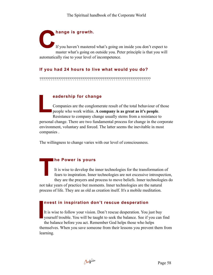**Compare is growth.**<br>
If you haven't mastered<br>
master what's going on If you haven't mastered what's going on inside you don't expect to master what's going on outside you. Peter principle is that you will automatically rise to your level of incompetence.

### **If you had 24 hours to live what would you do?**

????????????????????????????????????????????????????????????

**Leadership for change<br>
Companies are the conglomers<br>
people who work within. A co<br>
<b>Resistance to company change** Companies are the conglomerate result of the total behaviour of those people who work within. **A company is as great as it's people**. Resistance to company change usually stems from a resistance to personal change. There are two fundamental process for change in the corporate environment, voluntary and forced. The latter seems the inevitable in most companies .

The willingness to change varies with our level of consciousness.

### **The Power is yours**

It is wise to develop the inner technologies for the transformation of fears to inspiration. Inner technologies are not excessive introspection, they are the prayers and process to move beliefs. Inner technologies do not take years of practice but moments. Inner technologies are the natural process of life. They are as old as creation itself. It's a mobile meditation.

### **nvest in inspiration don't rescue desperation**

**I** It is wise to follow your vision. Don't rescue desperation. You just buy yourself trouble. You will be taught to seek the balance. See if you can find

the balance before you act. Remember God helps those who helps themselves. When you save someone from their lessons you prevent them from learning.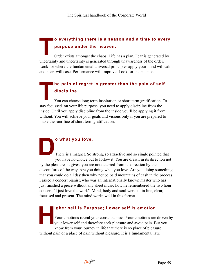## **To everything there is a season and a time to every purpose under the heaven.**

Order exists amongst the chaos. Life has a plan. Fear is generated by uncertainty and uncertainty is generated through unawareness of the order. Look for where the fundamental universal principles apply your mind will calm and heart will ease. Performance will improve. Look for the balance.

## **The pain of regret is greater than the pain of self discipline**

You can choose long term inspiration or short term gratification. To stay focussed on your life purpose you need to apply discipline from the inside. Until you apply discipline from the inside you'll be applying it from without. You will achieve your goals and visions only if you are prepared to make the sacrifice of short term gratification.

**Do what you love.**<br>There is a magnet. So s<br>wou have no choice but There is a magnet. So strong, so attractive and so single pointed that you have no choice but to follow it. You are drawn in its direction not by the pleasures it gives, you are not deterred from its direction by the discomforts of the way. Are you doing what you love. Are you doing something that you could do all day then why not be paid mountains of cash in the process. I asked a concert pianist, who was an internationally known master who has just finished a piece without any sheet music how he remembered the two hour concert. "I just love the work". Mind, body and soul were all in line, clear, focussed and present. The mind works well in this format.

**Higher self is Purpose; Lower self is emotion**<br>Your emotions reveal your consciousness. Your emotions are<br>your lower self and therefore seek pleasure and avoid pain. B<br>know from your journey in life that there is no place Your emotions reveal your consciousness. Your emotions are driven by your lower self and therefore seek pleasure and avoid pain. But you know from your journey in life that there is no place of pleasure

without pain or a place of pain without pleasure. It is a fundamental law.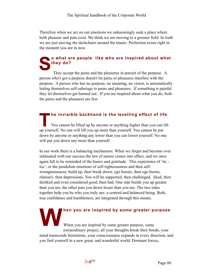Therefore when we act on our emotions we unknowingly seek a place where both pleasure and pain exist. We think we are moving to a greener field. In truth we are just moving the deckchairs around the titanic. Perfection exists right in the moment you are in now.

## o what are people like who are inspired about what **they do?**

 They accept the pains and the pleasures in pursuit of the purpose. A person who's got a purpose doesn't let pains or pleasures interfere with the purpose. A person who has no purpose, no meaning, no vision, is automatically letting themselves self-sabotage to pains and pleasures. If something is painful they let themselves get burned out. If you are inspired about what you do, both the pains and the pleasures are few.

**The invisible backhand is the levelling effect of life**. You cannot be lifted up by anyone or anything higher than you can lift up yourself. No one will lift you up more than yourself. You cannot be put down by anyone or anything any lower than you can lower yourself. No one will put you down any more than yourself.

In our work there is a balancing mechanism. When we forget and become over infatuated with our success the law of nature comes into effect, and we once again fall to be reminded of the basics and gratitude. This experience of 'tic toc', or the pendulum emotions of self-righteousness and then selfwrongteousness; build up, then break down; ego boosts, then ego bursts; elation's, then depressions. You will be supported, then challenged, liked, then disliked and even considered good, then bad. One side builds you up greater than you are, the other puts you down lesser than you are. The two sides together help you be who you truly are; a centred and balanced being. Both, true confidence and humbleness, are integrated through this means.

**When you are inspired by some greater purpose**  When you are inspired by some greater purpose, some

extraordinary project, all your thoughts break their bonds, your mind transcends limitations, your consciousness expands in every direction, and you find yourself in a new great, and wonderful world. Dormant forces,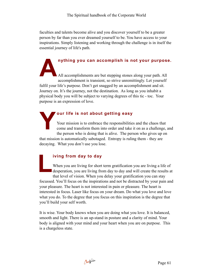faculties and talents become alive and you discover yourself to be a greater person by far than you ever dreamed yourself to be. You have access to your inspirations. Simply listening and working through the challenge is in itself the essential journey of life's path.

**Anything you can accomplish is not your purpose.**  All accomplishments are but stepping stones along your path. All accomplishment is transient, so strive unremittingly. Let yourself fulfil your life's purpose. Don't get snagged by an accomplishment and sit. Journey on. It's the journey, not the destination. As long as you inhabit a physical body you will be subject to varying degrees of this tic - toc. Your purpose is an expression of love.

### **Your life is not about getting easy**

Your mission is to embrace the responsibilities and the chaos that come and transform them into order and take it on as a challenge, and the person who is doing that is alive. The person who gives up on that mission is automatically sabotaged. Entropy is ruling them - they are decaying. What you don't use you lose.

**Living from day to day**<br>When you are living for short<br>desperation, you are living fro<br>that level of vision When you When you are living for short term gratification you are living a life of desperation, you are living from day to day and will create the results at that level of vision. When you delay your gratification you can stay focussed. You'll focus on the inspirations and not be distracted by your pain and your pleasure. The heart is not interested in pain or pleasure. The heart is interested in focus. Laser like focus on your dream. Do what you love and love what you do. To the degree that you focus on this inspiration is the degree that

you'll build your self worth. It is wise. Your body knows when you are doing what you love. It is balanced, smooth and light. There is an up-stand in posture and a clarity of mind. Your body is aligned with your mind and your heart when you are on purpose. This is a chargeless state.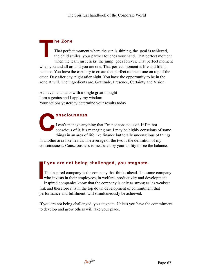**The Zone**<br>That perfect<br>the child sm<br>when the te That perfect moment where the sun is shining, the goal is achieved, the child smiles, your partner touches your hand. That perfect moment when the team just clicks, the jump goes forever. That perfect moment when you and all around you are one. That perfect moment is life and life in balance. You have the capacity to create that perfect moment one on top of the other. Day after day, night after night. You have the opportunity to be in the zone at will. The ingredients are. Gratitude, Presence, Certainty and Vision.

Achievement starts with a single great thought I am a genius and I apply my wisdom Your actions yesterday determine your results today

**Consciousness**<br> **Conscious of it, it's in things in an area of** I can't manage anything that I'm not conscious of. If I'm not conscious of it, it's managing me. I may be highly conscious of some things in an area of life like finance but totally unconscious of things in another area like health. The average of the two is the definition of my consciousness. Consciousness is measured by your ability to see the balance.

### **f you are not being challenged, you stagnate.**

**I** The inspired company is the company that thinks ahead. The same company who invests in their employees, in welfare, productivity and development.

Inspired companies know that the company is only as strong as it's weakest link and therefore it is in the top down development of commitment that performance and fulfilment will simultaneously be achieved.

If you are not being challenged, you stagnate. Unless you have the commitment to develop and grow others will take your place.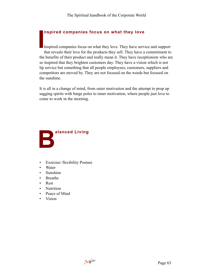### **nspired companies focus on what they love**

**I** Inspired companies focus on what they love. They have service and support that reveals their love for the products they sell. They have a commitment to the benefits of their product and really mean it. They have receptionists who are so inspired that they brighten customers day. They have a vision which is not lip service but something that all people employees, customers, suppliers and competitors are moved by. They are not focused on the weeds but focused on the sunshine.

It is all in a change of mind, from outer motivation and the attempt to prop up sagging spirits with barge poles to inner motivation, where people just love to come to work in the morning.



- Exercise/ flexibility Posture
- Water
- Sunshine
- Breathe
- Rest
- Nutrition
- Peace of Mind
- Vision

 $\int_{\mathcal{A}}^{\mathcal{A}} \mathcal{U}^{\mathcal{A}}$  Page 63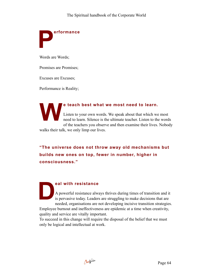

Words are Words;

Promises are Promises;

Excuses are Excuses;

Performance is Reality;

**Example 18 September 18 September 18 September 2013 September 2013 September 2013 September 2013 September 2013 September 2013 September 2013 September 2013 September 2013 September 2013 September 2013 September 2013 Sept** Listen to your own words. We speak about that which we most need to learn. Silence is the ultimate teacher. Listen to the words of the teachers you observe and then examine their lives. Nobody walks their talk, we only limp our lives.

**"The universe does not throw away old mechanisms but builds new ones on top, fewer in number, higher in consciousness."** 

**DEAL WITH PESISTANCE**<br>
A powerful resistance alway<br>
is pervasive today. Leaders<br> **Deal of propositions** are n A powerful resistance always thrives during times of transition and it is pervasive today. Leaders are struggling to make decisions that are needed, organisations are not developing incisive transition strategies.

Employee burnout and ineffectiveness are epidemic at a time when creativity, quality and service are vitally important.

To succeed in this change will require the disposal of the belief that we must only be logical and intellectual at work.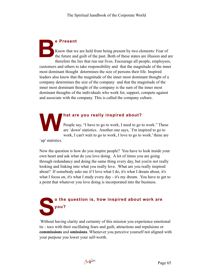**BE Present**<br> **BE Present**<br> **BE Know that we define the left of the left of the left of the left of the left of the left of the left of the left of the left of the left of the left of the left of the left of the left of th** Know that we are held from being present by two elements: Fear of the future and guilt of the past. Both of these states are illusion and are therefore the lies that run our lives. Encourage all people, employees, customers and others to take responsibility and that the magnitude of the inner most dominant thought determines the size of persons their life. Inspired leaders also know that the magnitude of the inner most dominant thought of a company determines the size of the company and that the magnitude of the inner most dominant thought of the company is the sum of the inner most dominant thoughts of the individuals who work for, support, compete against and associate with the company. This is called the company culture.



`up' statistics.

Now the question is how do you inspire people? You have to look inside your own heart and ask what do you love doing. A lot of times you are going through redundancy and doing the same thing every day, but you're not really looking and linking into what you really love. What are you really inspired about? If somebody asks me if I love what I do, it's what I dream about, it's what I focus on, it's what I study every day - it's my dream. You have to get to a point that whatever you love doing is incorporated into the business.



 Without having clarity and certainty of this mission you experience emotional tic - tocs with their oscillating fears and guilt, attractions and repulsions or **commissions** and **omissions**. Whenever you perceive yourself not aligned with your purpose you lower your self-worth.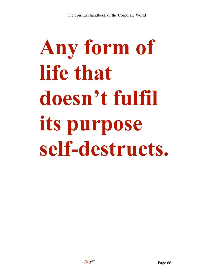# **Any form of life that doesn't fulfil its purpose self-destructs.**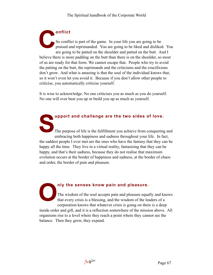**Conflict**<br>
So conflice<br>
praised are<br>
are going So conflict is part of the game. In your life you are going to be praised and reprimanded. You are going to be liked and disliked. You are going to be patted on the shoulder and patted on the butt. And I believe there is more padding on the butt than there is on the shoulder, so most of us are ready for that form. We cannot escape that. People who try to avoid the patting on the butt, the reprimands and the criticisms and the crucifixions don't grow. And what is amazing is that the soul of the individual knows that, so it won't even let you avoid it. Because if you don't allow other people to criticise, you automatically criticise yourself.

It is wise to acknowledge. No one criticises you as much as you do yourself. No one will ever beat you up or build you up as much as yourself.

# **Support and challenge are the two sides of love.**<br>The purpose of life is the fulfillment you achieve from conquering<br>mbracing both happiness and sadness throughout your life. In fa

The purpose of life is the fulfillment you achieve from conquering and embracing both happiness and sadness throughout your life. In fact, the saddest people I ever met are the ones who have the fantasy that they can be happy all the time. They live in a virtual reality, fantasising that they can be happy, and that's their sadness, because they do not realise that maximum evolution occurs at the border of happiness and sadness, at the border of chaos and order, the border of pain and pleasure.

**Only the senses know pain and pleasure.**<br>The wisdom of the soul accepts pain and pleasure equal that every crisis is a blessing, and the wisdom of the lease The wisdom of the soul accepts pain and pleasure equally and knows that every crisis is a blessing, and the wisdom of the leaders of a corporation knows that whatever crisis is going on there is a deep

inside order and gift, and it is a reflection somewhere of the mission above. All organisms rise to a level where they reach a point where they cannot see the balance. Then they grow, they expand.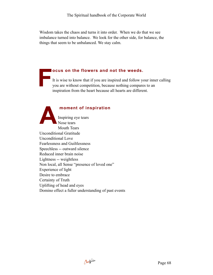Wisdom takes the chaos and turns it into order. When we do that we see imbalance turned into balance. We look for the other side, for balance, the things that seem to be unbalanced. We stay calm.

**Focus on the flowers and not the weeds.**<br>It is wise to know that if you are inspired and follow yo<br>you are without competition, because nothing compares<br>inspiration from the heart because all hearts are different It is wise to know that if you are inspired and follow your inner calling you are without competition, because nothing compares to an inspiration from the heart because all hearts are different.

### **moment of inspiration**

Inspiring eye tears Nose tears Mouth Tears Unconditional Gratitude Unconditional Love Fearlessness and Guiltlessness Speechless -- outward silence Reduced inner brain noise Lightness -- weightless Non local, all Sense "presence of loved one" Experience of light Desire to embrace Certainty of Truth Uplifting of head and eyes Domino effect a fuller understanding of past events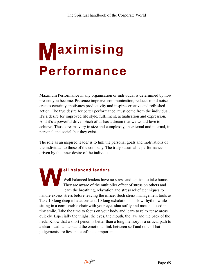# **Maximising Performance**

Maximum Performance in any organisation or individual is determined by how present you become. Presence improves communication, reduces mind noise, creates certainty, motivates productivity and inspires creative and refreshed action. The true desire for better performance must come from the individual. It's a desire for improved life style, fulfilment, actualisation and expression. And it's a powerful drive. Each of us has a dream that we would love to achieve. Those dreams vary in size and complexity, in external and internal, in personal and social, but they exist.

The role as an inspired leader is to link the personal goals and motivations of the individual to those of the company. The truly sustainable performance is driven by the inner desire of the individual.

**Well balanced leaders**<br>
Well balanced leaders have r<br>
They are aware of the multip<br>
learn the breathing relaxation Well balanced leaders have no stress and tension to take home. They are aware of the multiplier effect of stress on others and learn the breathing, relaxation and stress relief techniques to handle excess stress before leaving the office. Such stress management tools as: Take 10 long deep inhalations and 10 long exhalations in slow rhythm while sitting in a comfortable chair with your eyes shut softly and mouth closed in a tiny smile. Take the time to focus on your body and learn to relax tense areas quickly. Especially the thighs, the eyes, the mouth, the jaw and the back of the neck. Know that a short pencil is better than a long memory is a critical path to a clear head. Understand the emotional link between self and other. That judgements are lies and conflict is important.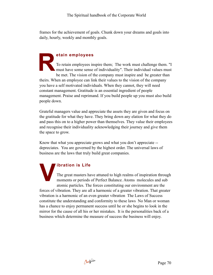frames for the achievement of goals. Chunk down your dreams and goals into daily, hourly, weekly and monthly goals.

**Retain employees**<br>
To retain employees in must have some sense of the vision of the vision of the vision of the vision of the vision of the vision of the vision of the vision of the vision of the vision of the vision of t To retain employees inspire them; The work must challenge them. "I must have some sense of individuality". Their individual values must be met. The vision of the company must inspire and be greater than theirs. When an employee can link their values to the vision of the company you have a self motivated individuals. When they cannot, they will need constant management. Gratitude is an essential ingredient of people management. Praise and reprimand. If you build people up you must also build people down.

Grateful managers value and appreciate the assets they are given and focus on the gratitude for what they have. They bring down any elation for what they do and pass this on to a higher power than themselves. They value their employees and recognise their individuality acknowledging their journey and give them the space to grow.

Know that what you appreciate grows and what you don't appreciate - depreciates. You are governed by the highest order. The universal laws of business are the laws that truly build great companies.

## **ibration is Life**

The great masters have attuned to high realms of inspiration through moments or periods of Perfect Balance. Atoms molecules and sub atomic particles. The forces constituting our environment are the forces of vibration. They are all a harmonic of a greater vibration. That greater vibration is a harmonic of an even greater vibration The Laws of Success constitute the understanding and conformity to these laws No Man or woman has a chance to enjoy permanent success until he or she begins to look in the mirror for the cause of all his or her mistakes. It is the personalities back of a business which determine the measure of success the business will enjoy.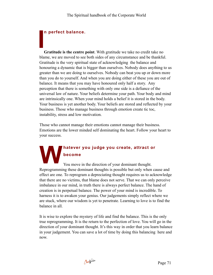### **n perfect balance.**

**I Gratitude is the centre point**. With gratitude we take no credit take no blame, we are moved to see both sides of any circumstance and be thankful. Gratitude is the very spiritual state of acknowledging the balance and honouring a dynamic that is bigger than ourselves. Nobody does anything to us greater than we are doing to ourselves. Nobody can beat you up or down more than you do to yourself. And when you are doing either of these you are out of balance. It means that you may have honoured only half a story. Any perception that there is something with only one side is a defiance of the universal law of nature. Your beliefs determine your path. Your body and mind are intrinsically one. When your mind holds a belief it is stored in the body. Your business is yet another body. Your beliefs are stored and reflected by your business. Those who manage business through emotion create tic toc, instability, stress and low motivation.

Those who cannot manage their emotions cannot manage their business. Emotions are the lower minded self dominating the heart. Follow your heart to your success.

## **Whatever you judge you create, attract or become**

You move in the direction of your dominant thought. Reprogramming these dominant thoughts is possible but only when cause and effect are one. To reprogram a depreciating thought requires us to acknowledge that there are no victims, that blame does not serve. That we can only perceive imbalance in our mind, in truth there is always perfect balance. The hand of creation is in perpetual balance. The power of your mind is incredible. To harness it is to awaken your genius. Our judgements simply reflect where we are stuck, where our wisdom is yet to penetrate. Learning to love is to find the balance in all.

It is wise to explore the mystery of life and find the balance. This is the only true reprogramming. It is the return to the perfection of love. You will go in the direction of your dominant thought. It's this way in order that you learn balance in your judgement. You can save a lot of time by doing this balancing here and now.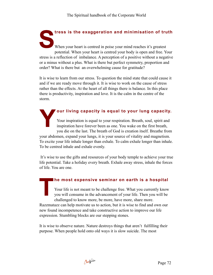## **Stress is the exaggeration and minimisation of truth**  When your heart is centred in poise your mind reaches it's greatest potential. When your heart is centred your body is open and free. Your stress is a reflection of imbalance. A perception of a positive without a negative or a minus without a plus. What is there but perfect symmetry, proportion and

It is wise to learn from our stress. To question the mind state that could cause it and if we are ready move through it. It is wise to work on the cause of stress rather than the effects. At the heart of all things there is balance. In this place there is productivity, inspiration and love. It is the calm in the centre of the storm.

order? What is there but an overwhelming cause for gratitude?

### **Your living capacity is equal to your lung capacity.**

Your inspiration is equal to your respiration. Breath, soul, spirit and inspiration have forever been as one. You wake on the first breath, you die on the last. The breath of God is creation itself. Breathe from your abdomen, expand your lungs, it is your source of vitality and magnetism. To excite your life inhale longer than exhale. To calm exhale longer than inhale. To be centred inhale and exhale evenly.

 It's wise to use the gifts and resources of your body temple to achieve your true life potential. Take a holiday every breath. Exhale away stress, inhale the forces of life. You are one.

### **The most expensive seminar on earth is a hospital**

Your life is not meant to be challenge free. What you currently know you will consume in the advancement of your life. Then you will be challenged to know more, be more, have more, share more.

Razzmatazz can help motivate us to action, but it is wise to find and own our new found incompetence and take constructive action to improve our life expression. Stumbling blocks are our stepping stones.

It is wise to observe nature. Nature destroys things that aren't fulfilling their purpose. When people hold onto old ways it is slow suicide. The most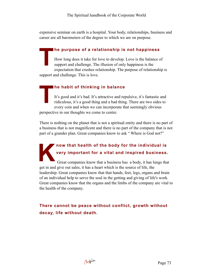expensive seminar on earth is a hospital. Your body, relationships, business and career are all barometers of the degree to which we are on purpose.

#### **The purpose of a relationship is not happiness**

How long does it take for love to develop. Love is the balance of support and challenge. The illusion of only happiness is the expectation that crushes relationship. The purpose of relationship is support and challenge. This is love.

#### **The habit of thinking in balance**

It's good and it's bad. It's attractive and repulsive, it's fantastic and ridiculous, it's a good thing and a bad thing. There are two sides to every coin and when we can incorporate that seemingly obvious perspective in our thoughts we come to centre.

There is nothing on the planet that is not a spiritual entity and there is no part of a business that is not magnificent and there is no part of the company that is not part of a grander plan. Great companies know to ask " Where is God not?"

## **Know that health of the body for the individual is very important for a vital and inspired business.**

 Great companies know that a business has a body, it has lungs that get in and give out sales, it has a heart which is the source of life, the leadership. Great companies know that that hands, feet, legs, organs and brain of an individual help to serve the soul in the getting and giving of life's work. Great companies know that the organs and the limbs of the company are vital to the health of the company.

**There cannot be peace without conflict, growth without decay, life without death.**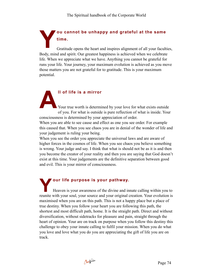## **You cannot be unhappy and grateful at the same time.**<br>
Gratitude opens the heart and inspires alignment of all your faculties, **time.**

Body, mind and spirit. Our greatest happiness is achieved when we celebrate life. When we appreciate what we have. Anything you cannot be grateful for runs your life. Your journey, your maximum evolution is achieved as you move those matters you are not grateful for to gratitude. This is your maximum potential.

**All of life is a mirror<br>
Your true worth is determined by Sour For what is outside.** Your true worth is determined by your love for what exists outside of you. For what is outside is pure reflection of what is inside. Your consciousness is determined by your appreciation of order.

When you are able to see cause and effect as one you see order. For example this caused that. When you see chaos you are in denial of the wonder of life and your judgement is ruling your being.

When you see the order you appreciate the universal laws and are aware of higher forces in the cosmos of life. When you see chaos you believe something is wrong. Your judge and say. I think that what is should not be as it is and then you become the creator of your reality and then you are saying that God doesn't exist at this time. Your judgements are the definitive separation between good and evil. This is your mirror of consciousness.

**Your life purpose is your pathway.** Heaven is your awareness of the divine and innate calling within you to reunite with your soul, your source and your original creation. Your evolution is maximised when you are on this path. This is not a happy place but a place of true destiny. When you follow your heart you are following this path, the shortest and most difficult path, home. It is the straight path. Direct and without diversification, without sidetracks for pleasure and pain, straight through the heart of opinion. Your are on track on purpose when you follow this destiny this challenge to obey your innate calling to fulfil your mission. When you do what you love and love what you do you are appreciating the gift of life you are on track.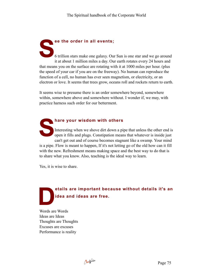Example 2 the order in all events;<br>
6 trillion stars make one galaxy. Our<br>
it at about 1 million miles a day. Our 6 trillion stars make one galaxy. Our Sun is one star and we go around it at about 1 million miles a day. Our earth rotates every 24 hours and that means you on the surface are rotating with it at 1000 miles per hour. (plus the speed of your car if you are on the freeway). No human can reproduce the function of a cell, no human has ever seen magnetism, or electricity, or an electron or love. It seems that trees grow, oceans roll and rockets return to earth.

It seems wise to presume there is an order somewhere beyond, somewhere within, somewhere above and somewhere without. I wonder if, we may, with practice harness such order for our betterment.

**Share your wisdom with others**  Interesting when we shove dirt down a pipe that unless the other end is open it fills and plugs. Constipation means that whatever is inside just can't get out and of course becomes stagnant like a swamp. Your mind is a pipe. Flow is meant to happen, If it's not letting go of the old how can it fill with the new. Refreshment means making space and the best way to do that is to share what you know. Also, teaching is the ideal way to learn.

Yes, it is wise to share.



Words are Words Ideas are Ideas Thoughts are Thoughts Excuses are excuses Performance is reality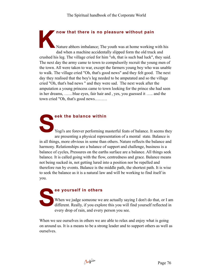**K** now that there is no pleasure without pain  $\blacktriangle$  Nature abhors imbalance; The youth was at home working with his dad when a machine accidentally slipped form the old truck and crushed his leg. The village cried for him "oh, that is such bad luck", they said. The next day the army came to town to compulsorily recruit the young men of the town. All were taken to war, except the farmers young boy who was unable to walk. The village cried "Oh, that's good news" and they felt good. The next day they realised that the boy's leg needed to be amputated and so the village cried "Oh, that's bad news " and they were sad. The next week after the amputation a young princess came to town looking for the prince she had seen in her dreams, ……blue eyes, fair hair and , yes, you guessed it ….. and the town cried "Oh, that's good news………

# **Seek the balance within <br>
Yogi's are forever performing m<br>
are presenting a physical represent**

Yogi's are forever performing masterful feats of balance. It seems they are presenting a physical representation of a mental state. Balance is in all things, more obvious in some than others. Nature reflects the balance and harmony. Relationships are a balance of support and challenge, business is a balance of cycles, Pressures on the earths surface are a balance. All things seek balance. It is called going with the flow, centredness and grace. Balance means not being sucked in, not getting lured into a position nor be repelled and therefore run by events. Balance is the middle path, the shortest path. It is wise to seek the balance as it is a natural law and will be working to find itself in you.



Expressed to the see yourself in others<br>
When we judge someone we<br>
different. Really, if you explo<br>
every drop of rain and every When we judge someone we are actually saying I don't do that, or I am different. Really, if you explore this you will find yourself reflected in every drop of rain, and every person you see.

When we see ourselves in others we are able to relax and enjoy what is going on around us. It is a means to be a strong leader and to support others as well as ourselves.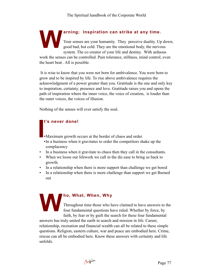### **Example 3.1 Spiration can strike at any time.**<br>
Your senses are your humanity. They perceive duality. Up good bad, hot cold. They are the emotional body, the nervole system. The co-creator of your life and destiny. With a Your senses are your humanity. They perceive duality. Up down, good bad, hot cold. They are the emotional body, the nervous system. The co creator of your life and destiny. With arduous

work the senses can be controlled. Pain tolerance, stillness, mind control, even the heart beat . All is possible.

 It is wise to know that you were not born for ambivalence. You were born to grow and to be inspired by life. To rise above ambivalence requires the acknowledgment of a power greater than you. Gratitude is the one and only key to inspiration, certainty, presence and love. Gratitude raises you and opens the path of inspiration where the inner voice, the voice of creation, is louder than the outer voices, the voices of illusion.

Nothing of the senses will ever satisfy the soul.

#### **t's never done!**

- **I** •Maximum growth occurs at the border of chaos and order.
	- •In a business when it gravitates to order the competitors shake up the complacency
- In a business when it gravitate to chaos then they call in the consultants.
- When we loose our lifework we call in the dis ease to bring us back to growth.
- In a relationship when there is more support than challenge we get bored
- In a relationship when there is more challenge than support we get Burned out

#### **Who, What, When, Why**

Throughout time those who have claimed to have answers to the four fundamental questions have ruled. Whether by force, by faith, by fear or by guilt the search for these four fundamental

answers has truly united the earth in search and mission in life. Career, relationship, recreation and financial wealth can all be related to these simple questions. Religion, eastern culture, war and peace are embodied here. Crime, rescue can all be embodied here. Know these answers with certainty and life unfolds.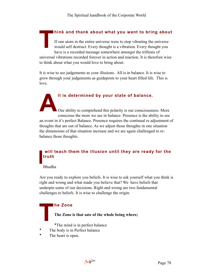#### **Think and thank about what you want to bring about**

If one atom in the entire universe were to stop vibrating the universe would self destruct. Every thought is a vibration. Every thought you have is a recorded message somewhere amongst the trillions of universal vibrations recorded forever in action and reaction. It is therefore wise to think about what you would love to bring about.

It is wise to see judgements as your illusions. All is in balance. It is wise to grow through your judgements as guideposts to your heart filled life. This is love.

**All is determined by your state of balance.** 

Our ability to comprehend this polarity is our consciousness. More conscious the more we see in balance. Presence is the ability to see an event in it's perfect Balance. Presence requires the continual re adjustment of thoughts that are out of balance. As we adjust those thoughts in one situation the dimensions of that situation increase and we are again challenged to rebalance those thoughts.

#### **I will teach them the illusion until they are ready for the truth**

Bhudha

Are you ready to explore you beliefs. It is wise to ask yourself what you think is right and wrong and what made you believe that? We have beliefs that underpin some of our decisions. Right and wrong are two fundamental challenges to beliefs. It is wise to challenge the origin.

# **The Zone**<br>The Zone is

**The Zone is that sate of the whole being where;** 

- •The mind is in perfect balance
- The body is in Perfect balance
- The heart is open.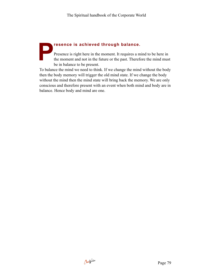#### **Presence is achieved through balance.**<br>Presence is right here in the moment. It requires a mit<br>the moment and not in the future or the past. Therefore<br>the in balance to be present Presence is right here in the moment. It requires a mind to be here in the moment and not in the future or the past. Therefore the mind must be in balance to be present.

To balance the mind we need to think. If we change the mind without the body then the body memory will trigger the old mind state. If we change the body without the mind then the mind state will bring back the memory. We are only conscious and therefore present with an event when both mind and body are in balance. Hence body and mind are one.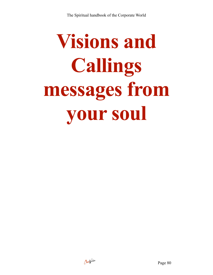## **Visions and Callings messages from your soul**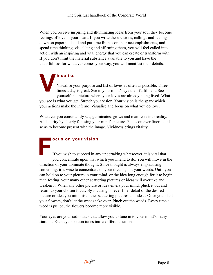When you receive inspiring and illuminating ideas from your soul they become feelings of love in your heart. If you write these visions, callings and feelings down on paper in detail and put time frames on their accomplishments, and spend time thinking, visualising and affirming them, you will feel called into action with an inspiring and vital energy that you can create or transform with. If you don't limit the material substance available to you and have the thankfulness for whatever comes your way, you will manifest their details.

**Visualise**<br>Visualise yourself in Visualise your purpose and list of loves as often as possible. Three times a day is great. See in your mind's eye their fulfilment. See yourself in a picture where your loves are already being lived. What you see is what you get. Stretch your vision. Your vision is the spark which your actions make the inferno. Visualise and focus on what you do love.

Whatever you consistently see, germinates, grows and manifests into reality. Add clarity by clearly focusing your mind's picture. Focus on ever finer detail so as to become present with the image. Vividness brings vitality.

#### **Focus on your vision**

If you wish to succeed in any undertaking whatsoever, it is vital that you concentrate upon that which you intend to do. You will move in the direction of your dominate thought. Since thought is always emphasising something, it is wise to concentrate on your dreams, not your weeds. Until you can hold on to your picture in your mind, or the idea long enough for it to begin manifesting, your many other scattering pictures or ideas will overtake and weaken it. When any other picture or idea enters your mind, pluck it out and return to your chosen focus. By focusing on ever finer detail of the desired picture or idea you minimise other scattering pictures and ideas. Once you plant your flowers, don't let the weeds take over. Pluck out the weeds. Every time a weed is pulled, the flowers become more visible.

Your eyes are your radio dials that allow you to tune in to your mind's many stations. Each eye position tunes into a different station.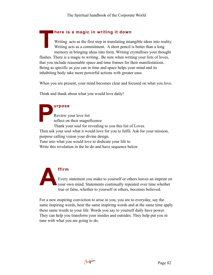#### **There is a magic in writing it down**

Writing acts as the first step in translating intangible ideas into reality. Writing acts as a commitment. A short pencil is better than a long memory in bringing ideas into form. Writing crystallises your thought flashes. There is a magic to writing.. Be sure when writing your lists of loves, that you include reasonable space and time frames for their manifestations. Being as specific as you can in time and space helps your mind and its inhabiting body take more powerful actions with greater ease.

When you are present, your mind becomes clear and focused on what you love.

Think and thank about what you would love daily!

**Purpose**<br>Review your reflect on Review your love list reflect on their magnificence Thank your soul for revealing to you this list of Loves. Then ask your soul what it would love for you to fulfil. Ask for your mission, purpose calling vision your divine design. Tune into what you would love to dedicate your life to Write this revelation in the be do and have sequence below

**A**<br>Every s<br>your ov Every statement you make to yourself or others leaves an imprint on your own mind. Statements continually repeated over time whether true or false, whether to yourself or others, becomes believed.

For a new inspiring conviction to arise in you, you are to everyday, say the same inspiring words, hear the same inspiring words and at the same time apply these same words to your life. Words you say to yourself daily have power. They can help you transform your insides and outsides. They help put you in tune with what you are going to do.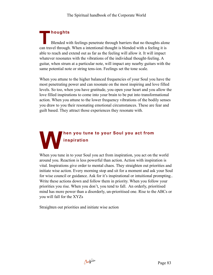#### **Thoughts** Blended with feelings penetrate through barriers that no thoughts alone can travel through. When a intentional thought is blended with a feeling it is able to reach and extend out as far as the feeling will allow it. It will impact whatever resonates with the vibrations of the individual thought-feeling. A guitar, when strum at a particular note, will impact any nearby guitars with the same potential note or string tens-ion. Feelings set the tone scale.

When you attune to the higher balanced frequencies of your Soul you have the most penetrating power and can resonate on the most inspiring and love filled levels. So too, when you have gratitude, you open your heart and you allow the love filled inspirations to come into your brain to be put into transformational action. When you attune to the lower frequency vibrations of the bodily senses you draw to you their resonating emotional circumstances. These are fear and guilt based. They attract those experiences they resonate with.

### **When you tune to your Soul you act from inspiration**

When you tune in to your Soul you act from inspiration, you act on the world around you. Reaction is less powerful than action. Action with inspiration is vital. Inspirations give order to mental chaos. They straighten out priorities and initiate wise action. Every morning stop and sit for a moment and ask your Soul for wise council or guidance. Ask for it's inspirational or intuitional prompting.. Write these actions down and follow them in priority. When you follow your priorities you rise. When you don't, you tend to fall. An orderly, prioritised mind has more power than a disorderly, un-prioritised one. Rise to the ABCs or you will fall for the XYZs

Straighten out priorities and initiate wise action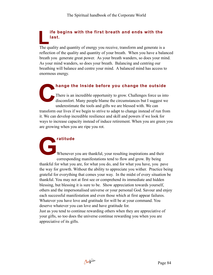#### **Life begins with the first breath and ends with the last.**

The quality and quantity of energy you receive, transform and generate is a reflection of the quality and quantity of your breath. When you have a balanced breath you generate great power. As your breath wanders, so does your mind. As your mind wanders, so does your breath. Balancing and centring our breathing will balance and centre your mind. A balanced mind has access to enormous energy.

**Change the Inside before you change the outside** 

There is an incredible opportunity to grow. Challenges force us into discomfort. Many people blame the circumstances but I suggest we underestimate the tools and gifts we are blessed with. We can transform our lives if we begin to strive to adapt to change instead of run from it. We can develop incredible resilience and skill and powers if we look for ways to increase capacity instead of induce retirement. When you are green you are growing when you are ripe you rot.

**Gratitude**<br>
Whenever y Whenever you are thankful, your resulting inspirations and their

corresponding manifestations tend to flow and grow. By being thankful for what you are, for what you do, and for what you have, you pave the way for growth. Without the ability to appreciate you wither. Practice being grateful for everything that comes your way. In the midst of every situation be thankful. You may not at first see or comprehend its immediate and hidden blessing, but blessing it is sure to be. Show appreciation towards yourself, others and the impersonalised universe or your personal God. Savour and enjoy each successful manifestation and even those which at first appear failures. Whatever you have love and gratitude for will be at your command. You deserve whatever you can love and have gratitude for.

Just as you tend to continue rewarding others when they are appreciative of your gifts, so too does the universe continue rewarding you when you are appreciative of its gifts.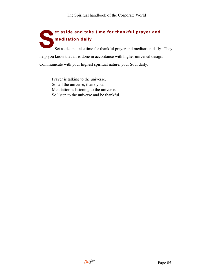## **Set aside and take time for thankful prayer and<br>
Set aside and take time for thankful prayer and meditation daily. They meditation daily**

help you know that all is done in accordance with higher universal design. Communicate with your highest spiritual nature, your Soul daily.

 Prayer is talking to the universe. So tell the universe, thank you. Meditation is listening to the universe. So listen to the universe and be thankful.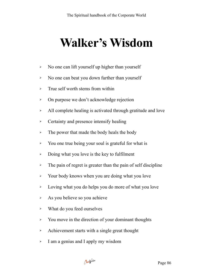## **Walker's Wisdom**

- $\triangleright$  No one can lift yourself up higher than yourself
- $\triangleright$  No one can beat you down further than yourself
- $\triangleright$  True self worth stems from within
- $\triangleright$  On purpose we don't acknowledge rejection
- $\triangleright$  All complete healing is activated through gratitude and love
- $\triangleright$  Certainty and presence intensify healing
- $\triangleright$  The power that made the body heals the body
- $\triangleright$  You one true being your soul is grateful for what is
- $\triangleright$  Doing what you love is the key to fulfilment
- $\triangleright$  The pain of regret is greater than the pain of self discipline
- $\triangleright$  Your body knows when you are doing what you love
- $\triangleright$  Loving what you do helps you do more of what you love
- $\triangleright$  As you believe so you achieve
- $\triangleright$  What do you feed ourselves
- $\triangleright$  You move in the direction of your dominant thoughts
- $\triangleright$  Achievement starts with a single great thought
- $\triangleright$  I am a genius and I apply my wisdom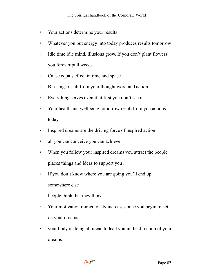- $\triangleright$  Your actions determine your results
- $\triangleright$  Whatever you put energy into today produces results tomorrow
- $\triangleright$  Idle time idle mind, illusions grow. If you don't plant flowers you forever pull weeds
- $\triangleright$  Cause equals effect in time and space
- $\triangleright$  Blessings result from your thought word and action
- $\triangleright$  Everything serves even if at first you don't see it
- $\triangleright$  Your health and wellbeing tomorrow result from you actions today
- $\triangleright$  Inspired dreams are the driving force of inspired action
- $\lambda$  all you can conceive you can achieve
- $\triangleright$  When you follow your inspired dreams you attract the people places things and ideas to support you .
- $\triangleright$  If you don't know where you are going you'll end up somewhere else
- $\triangleright$  People think that they think
- $\triangleright$  Your motivation miraculously increases once you begin to act on your dreams
- $\rightarrow$  your body is doing all it can to lead you in the direction of your dreams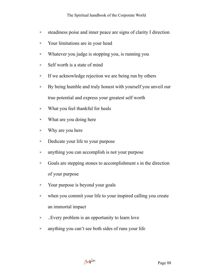- $\triangleright$  steadiness poise and inner peace are signs of clarity I direction
- $\triangleright$  Your limitations are in your head
- $\triangleright$  Whatever you judge is stopping you, is running you
- $\triangleright$  Self worth is a state of mind
- $\triangleright$  If we acknowledge rejection we are being run by others
- $\rightarrow$  By being humble and truly honest with yourself you unveil our true potential and express your greatest self worth
- $\triangleright$  What you feel thankful for heals
- $\triangleright$  What are you doing here
- $\triangleright$  Why are you here
- $\triangleright$  Dedicate your life to your purpose
- $\rightarrow$  anything you can accomplish is not your purpose
- $\triangleright$  Goals are stepping stones to accomplishment s in the direction of your purpose
- $\rightarrow$  Your purpose is beyond your goals
- $\rightarrow$  when you commit your life to your inspired calling you create an immortal impact
- $\geq$  . Every problem is an opportunity to learn love
- $\lambda$  anything you can't see both sides of runs your life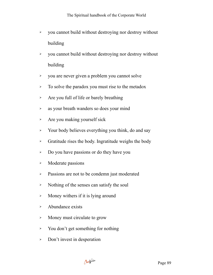- $\rightarrow$  you cannot build without destroying nor destroy without building
- $\rightarrow$  you cannot build without destroying nor destroy without building
- $\rightarrow$  you are never given a problem you cannot solve
- $\geq$  To solve the paradox you must rise to the metadox
- $\triangleright$  Are you full of life or barely breathing
- $\triangleright$  as your breath wanders so does your mind
- $\triangleright$  Are you making yourself sick
- $\triangleright$  Your body believes everything you think, do and say
- $\triangleright$  Gratitude rises the body. Ingratitude weighs the body
- $\triangleright$  Do you have passions or do they have you
- $\triangleright$  Moderate passions
- $\triangleright$  Passions are not to be condemn just moderated
- $\triangleright$  Nothing of the senses can satisfy the soul
- $\triangleright$  Money withers if it is lying around
- $\triangleright$  Abundance exists
- $\triangleright$  Money must circulate to grow
- $\triangleright$  You don't get something for nothing
- $\triangleright$  Don't invest in desperation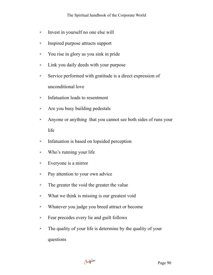- $\triangleright$  Invest in yourself no one else will
- $\triangleright$  Inspired purpose attracts support
- $\triangleright$  You rise in glory as you sink in pride
- $\triangleright$  Link you daily deeds with your purpose
- $\triangleright$  Service performed with gratitude is a direct expression of unconditional love
- $\triangleright$  Infatuation leads to resentment
- $\triangleright$  Are you busy building pedestals
- $\triangleright$  Anyone or anything that you cannot see both sides of runs your life
- $\triangleright$  Infatuation is based on lopsided perception
- $\triangleright$  Who's running your life
- $\triangleright$  Everyone is a mirror
- $\triangleright$  Pay attention to your own advice
- $\triangleright$  The greater the void the greater the value
- $\triangleright$  What we think is missing is our greatest void
- $\triangleright$  Whatever you judge you breed attract or become
- $\triangleright$  Fear precedes every lie and guilt follows
- $\triangleright$  The quality of your life is determine by the quality of your questions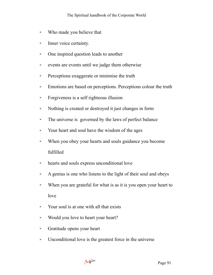- $\triangleright$  Who made you believe that
- $\triangleright$  Inner voice certainty.
- $\triangleright$  One inspired question leads to another
- $\triangleright$  events are events until we judge them otherwise
- $\triangleright$  Perceptions exaggerate or minimise the truth
- $\triangleright$  Emotions are based on perceptions. Perceptions colour the truth
- $\triangleright$  Forgiveness is a self righteous illusion
- $\triangleright$  Nothing is created or destroyed it just changes in form
- $\triangleright$  The universe is governed by the laws of perfect balance
- $\triangleright$  Your heart and soul have the wisdom of the ages
- $\triangleright$  When you obey your hearts and souls guidance you become fulfilled
- $\rightarrow$  hearts and souls express unconditional love
- $\triangleright$  A genius is one who listens to the light of their soul and obeys
- $\triangleright$  When you are grateful for what is as it is you open your heart to love
- $\geq$  Your soul is at one with all that exists
- $\triangleright$  Would you love to heart your heart?
- $\triangleright$  Gratitude opens your heart
- $\triangleright$  Unconditional love is the greatest force in the universe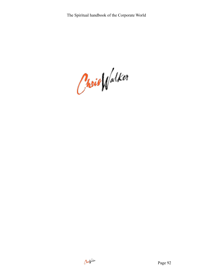Chris Walker